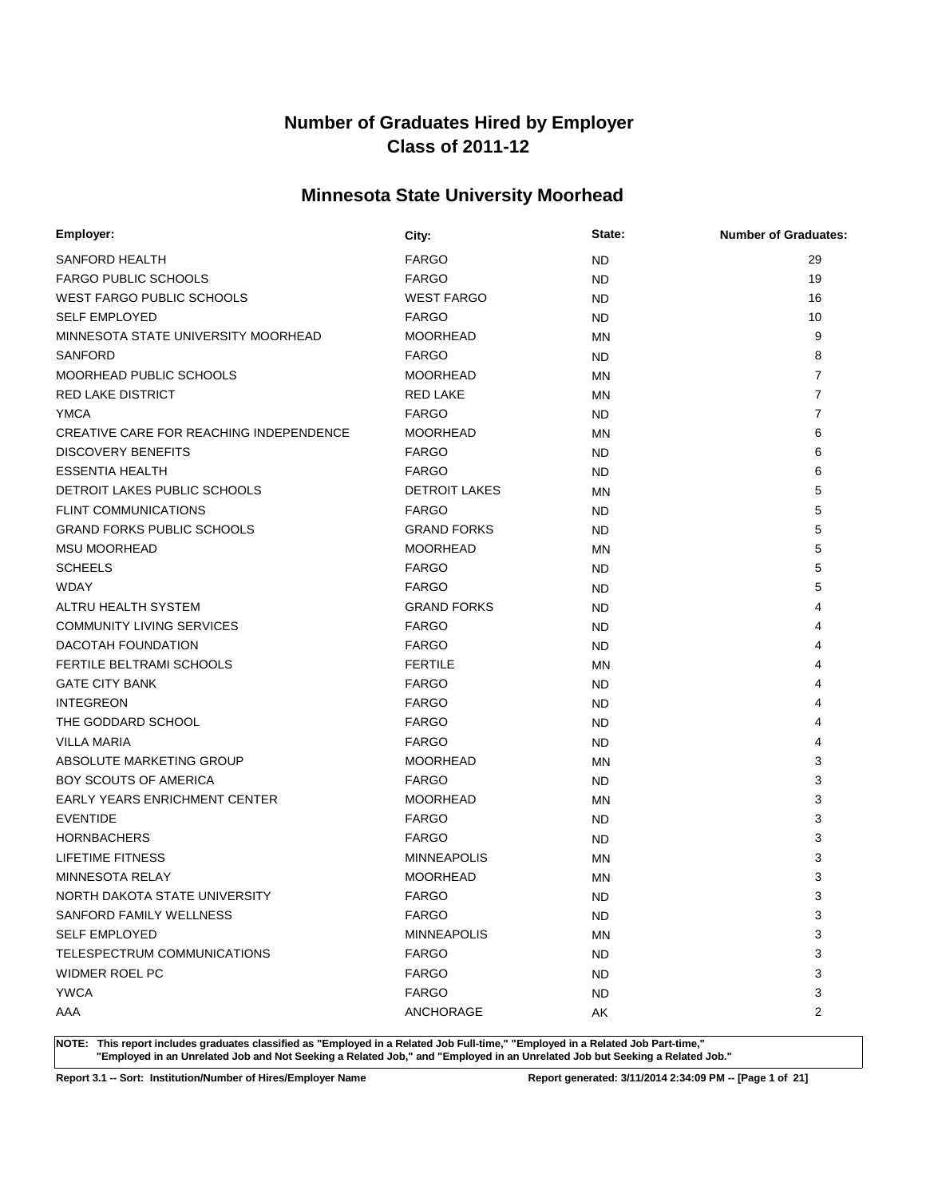# **Minnesota State University Moorhead**

| Employer:                               | City:                | State:    | <b>Number of Graduates:</b> |
|-----------------------------------------|----------------------|-----------|-----------------------------|
| SANFORD HEALTH                          | <b>FARGO</b>         | <b>ND</b> | 29                          |
| <b>FARGO PUBLIC SCHOOLS</b>             | <b>FARGO</b>         | ND        | 19                          |
| <b>WEST FARGO PUBLIC SCHOOLS</b>        | <b>WEST FARGO</b>    | <b>ND</b> | 16                          |
| <b>SELF EMPLOYED</b>                    | <b>FARGO</b>         | ND        | 10                          |
| MINNESOTA STATE UNIVERSITY MOORHEAD     | <b>MOORHEAD</b>      | MN        | 9                           |
| <b>SANFORD</b>                          | <b>FARGO</b>         | ND        | 8                           |
| MOORHEAD PUBLIC SCHOOLS                 | <b>MOORHEAD</b>      | ΜN        | $\overline{7}$              |
| <b>RED LAKE DISTRICT</b>                | <b>RED LAKE</b>      | MN        | $\overline{7}$              |
| <b>YMCA</b>                             | <b>FARGO</b>         | ND.       | $\overline{7}$              |
| CREATIVE CARE FOR REACHING INDEPENDENCE | <b>MOORHEAD</b>      | MN        | 6                           |
| <b>DISCOVERY BENEFITS</b>               | <b>FARGO</b>         | <b>ND</b> | 6                           |
| <b>ESSENTIA HEALTH</b>                  | <b>FARGO</b>         | ND        | 6                           |
| DETROIT LAKES PUBLIC SCHOOLS            | <b>DETROIT LAKES</b> | <b>MN</b> | 5                           |
| <b>FLINT COMMUNICATIONS</b>             | <b>FARGO</b>         | ND        | 5                           |
| <b>GRAND FORKS PUBLIC SCHOOLS</b>       | <b>GRAND FORKS</b>   | <b>ND</b> | 5                           |
| <b>MSU MOORHEAD</b>                     | <b>MOORHEAD</b>      | MN        | 5                           |
| <b>SCHEELS</b>                          | <b>FARGO</b>         | ND        | 5                           |
| <b>WDAY</b>                             | <b>FARGO</b>         | ND        | 5                           |
| ALTRU HEALTH SYSTEM                     | <b>GRAND FORKS</b>   | ND        | 4                           |
| <b>COMMUNITY LIVING SERVICES</b>        | <b>FARGO</b>         | ND        | 4                           |
| DACOTAH FOUNDATION                      | <b>FARGO</b>         | ND        | 4                           |
| FERTILE BELTRAMI SCHOOLS                | <b>FERTILE</b>       | MN        | 4                           |
| <b>GATE CITY BANK</b>                   | <b>FARGO</b>         | <b>ND</b> | 4                           |
| <b>INTEGREON</b>                        | <b>FARGO</b>         | ND        | 4                           |
| THE GODDARD SCHOOL                      | <b>FARGO</b>         | <b>ND</b> | 4                           |
| <b>VILLA MARIA</b>                      | <b>FARGO</b>         | <b>ND</b> | 4                           |
| ABSOLUTE MARKETING GROUP                | <b>MOORHEAD</b>      | <b>MN</b> | 3                           |
| <b>BOY SCOUTS OF AMERICA</b>            | <b>FARGO</b>         | ND        | 3                           |
| <b>EARLY YEARS ENRICHMENT CENTER</b>    | <b>MOORHEAD</b>      | <b>MN</b> | 3                           |
| <b>EVENTIDE</b>                         | <b>FARGO</b>         | ND        | 3                           |
| <b>HORNBACHERS</b>                      | <b>FARGO</b>         | ND        | 3                           |
| <b>LIFETIME FITNESS</b>                 | <b>MINNEAPOLIS</b>   | MN        | 3                           |
| MINNESOTA RELAY                         | <b>MOORHEAD</b>      | MN        | 3                           |
| NORTH DAKOTA STATE UNIVERSITY           | <b>FARGO</b>         | <b>ND</b> | 3                           |
| SANFORD FAMILY WELLNESS                 | <b>FARGO</b>         | <b>ND</b> | 3                           |
| <b>SELF EMPLOYED</b>                    | <b>MINNEAPOLIS</b>   | <b>MN</b> | 3                           |
| TELESPECTRUM COMMUNICATIONS             | <b>FARGO</b>         | ND.       | 3                           |
| WIDMER ROEL PC                          | <b>FARGO</b>         | ND.       | 3                           |
| <b>YWCA</b>                             | <b>FARGO</b>         | <b>ND</b> | 3                           |
| AAA                                     | ANCHORAGE            | AK        | $\overline{2}$              |

**NOTE: This report includes graduates classified as "Employed in a Related Job Full-time," "Employed in a Related Job Part-time," "Employed in an Unrelated Job and Not Seeking a Related Job," and "Employed in an Unrelated Job but Seeking a Related Job."**

**Report 3.1 -- Sort: Institution/Number of Hires/Employer Name Report generated: 3/11/2014 2:34:09 PM -- [Page 1 of 21]**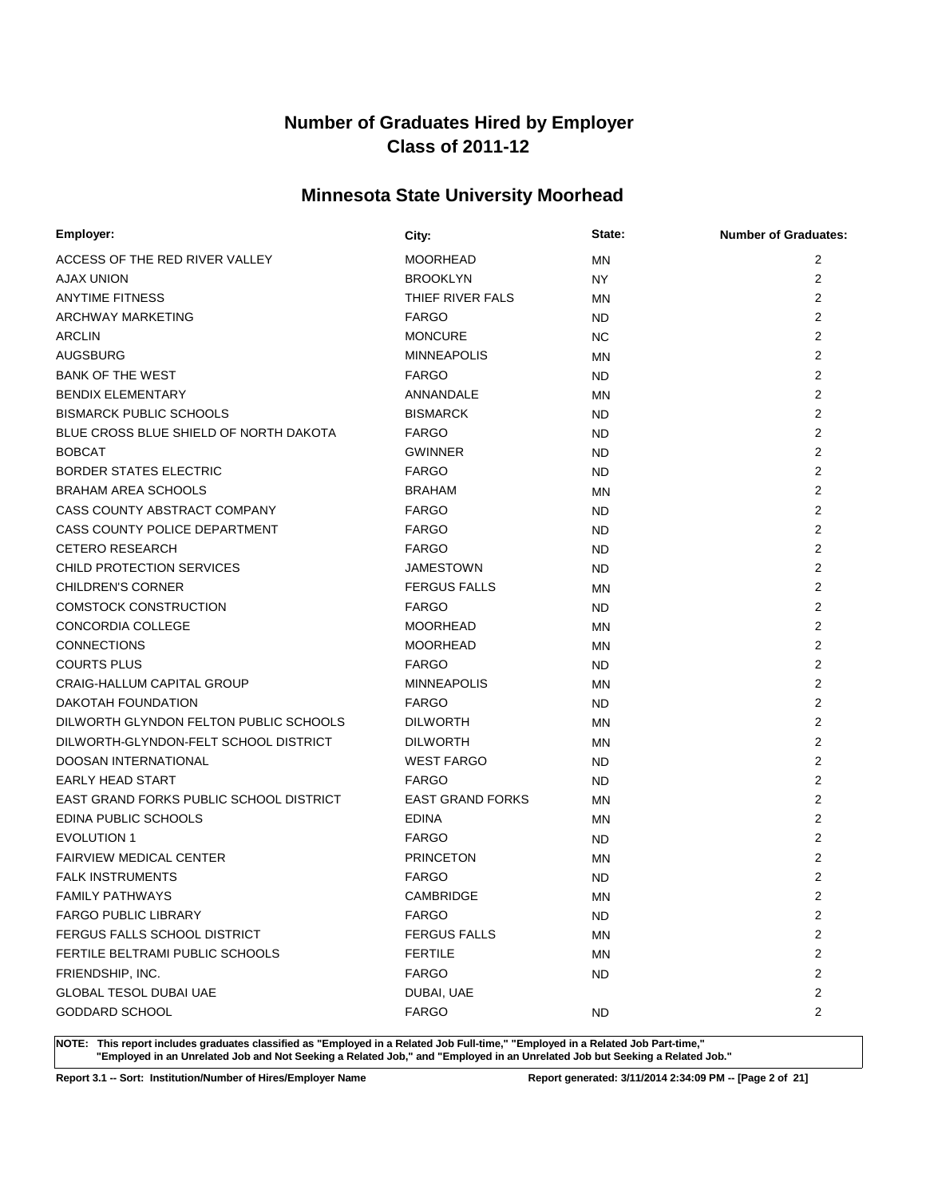# **Minnesota State University Moorhead**

| Employer:                               | City:                   | State:    | <b>Number of Graduates:</b> |
|-----------------------------------------|-------------------------|-----------|-----------------------------|
| ACCESS OF THE RED RIVER VALLEY          | <b>MOORHEAD</b>         | MN        | 2                           |
| AJAX UNION                              | <b>BROOKLYN</b>         | NY.       | $\overline{2}$              |
| <b>ANYTIME FITNESS</b>                  | THIEF RIVER FALS        | MN        | $\overline{2}$              |
| ARCHWAY MARKETING                       | <b>FARGO</b>            | <b>ND</b> | $\overline{2}$              |
| <b>ARCLIN</b>                           | <b>MONCURE</b>          | NC.       | $\overline{2}$              |
| AUGSBURG                                | <b>MINNEAPOLIS</b>      | <b>MN</b> | $\overline{2}$              |
| <b>BANK OF THE WEST</b>                 | <b>FARGO</b>            | ND        | 2                           |
| <b>BENDIX ELEMENTARY</b>                | ANNANDALE               | <b>MN</b> | 2                           |
| <b>BISMARCK PUBLIC SCHOOLS</b>          | <b>BISMARCK</b>         | <b>ND</b> | $\overline{2}$              |
| BLUE CROSS BLUE SHIELD OF NORTH DAKOTA  | <b>FARGO</b>            | <b>ND</b> | $\overline{2}$              |
| <b>BOBCAT</b>                           | <b>GWINNER</b>          | ND        | $\overline{2}$              |
| <b>BORDER STATES ELECTRIC</b>           | <b>FARGO</b>            | <b>ND</b> | $\overline{2}$              |
| <b>BRAHAM AREA SCHOOLS</b>              | <b>BRAHAM</b>           | MN        | $\overline{2}$              |
| CASS COUNTY ABSTRACT COMPANY            | <b>FARGO</b>            | <b>ND</b> | $\overline{2}$              |
| CASS COUNTY POLICE DEPARTMENT           | <b>FARGO</b>            | ND        | $\overline{2}$              |
| <b>CETERO RESEARCH</b>                  | <b>FARGO</b>            | ND        | $\overline{2}$              |
| CHILD PROTECTION SERVICES               | JAMESTOWN               | ND        | $\overline{2}$              |
| <b>CHILDREN'S CORNER</b>                | <b>FERGUS FALLS</b>     | <b>MN</b> | $\overline{2}$              |
| <b>COMSTOCK CONSTRUCTION</b>            | <b>FARGO</b>            | ND        | $\overline{2}$              |
| CONCORDIA COLLEGE                       | <b>MOORHEAD</b>         | <b>MN</b> | $\overline{2}$              |
| <b>CONNECTIONS</b>                      | <b>MOORHEAD</b>         | <b>MN</b> | $\overline{2}$              |
| <b>COURTS PLUS</b>                      | <b>FARGO</b>            | <b>ND</b> | $\overline{2}$              |
| CRAIG-HALLUM CAPITAL GROUP              | <b>MINNEAPOLIS</b>      | <b>MN</b> | $\overline{2}$              |
| DAKOTAH FOUNDATION                      | <b>FARGO</b>            | <b>ND</b> | $\overline{2}$              |
| DILWORTH GLYNDON FELTON PUBLIC SCHOOLS  | <b>DILWORTH</b>         | <b>MN</b> | 2                           |
| DILWORTH-GLYNDON-FELT SCHOOL DISTRICT   | <b>DILWORTH</b>         | ΜN        | $\overline{2}$              |
| DOOSAN INTERNATIONAL                    | <b>WEST FARGO</b>       | ND        | $\overline{2}$              |
| <b>EARLY HEAD START</b>                 | <b>FARGO</b>            | <b>ND</b> | $\overline{2}$              |
| EAST GRAND FORKS PUBLIC SCHOOL DISTRICT | <b>EAST GRAND FORKS</b> | MN        | $\overline{2}$              |
| <b>EDINA PUBLIC SCHOOLS</b>             | <b>EDINA</b>            | ΜN        | $\overline{2}$              |
| <b>EVOLUTION 1</b>                      | <b>FARGO</b>            | ND        | $\overline{2}$              |
| <b>FAIRVIEW MEDICAL CENTER</b>          | <b>PRINCETON</b>        | MN        | $\overline{2}$              |
| <b>FALK INSTRUMENTS</b>                 | <b>FARGO</b>            | <b>ND</b> | $\overline{2}$              |
| <b>FAMILY PATHWAYS</b>                  | CAMBRIDGE               | <b>MN</b> | $\overline{2}$              |
| <b>FARGO PUBLIC LIBRARY</b>             | <b>FARGO</b>            | ND.       | $\overline{2}$              |
| FERGUS FALLS SCHOOL DISTRICT            | <b>FERGUS FALLS</b>     | <b>MN</b> | $\overline{2}$              |
| FERTILE BELTRAMI PUBLIC SCHOOLS         | <b>FERTILE</b>          | ΜN        | $\overline{2}$              |
| FRIENDSHIP, INC.                        | <b>FARGO</b>            | <b>ND</b> | $\overline{2}$              |
| GLOBAL TESOL DUBAI UAE                  | DUBAI, UAE              |           | $\overline{c}$              |
| GODDARD SCHOOL                          | <b>FARGO</b>            | <b>ND</b> | $\overline{2}$              |

**NOTE: This report includes graduates classified as "Employed in a Related Job Full-time," "Employed in a Related Job Part-time," "Employed in an Unrelated Job and Not Seeking a Related Job," and "Employed in an Unrelated Job but Seeking a Related Job."**

**Report 3.1 -- Sort: Institution/Number of Hires/Employer Name Report generated: 3/11/2014 2:34:09 PM -- [Page 2 of 21]**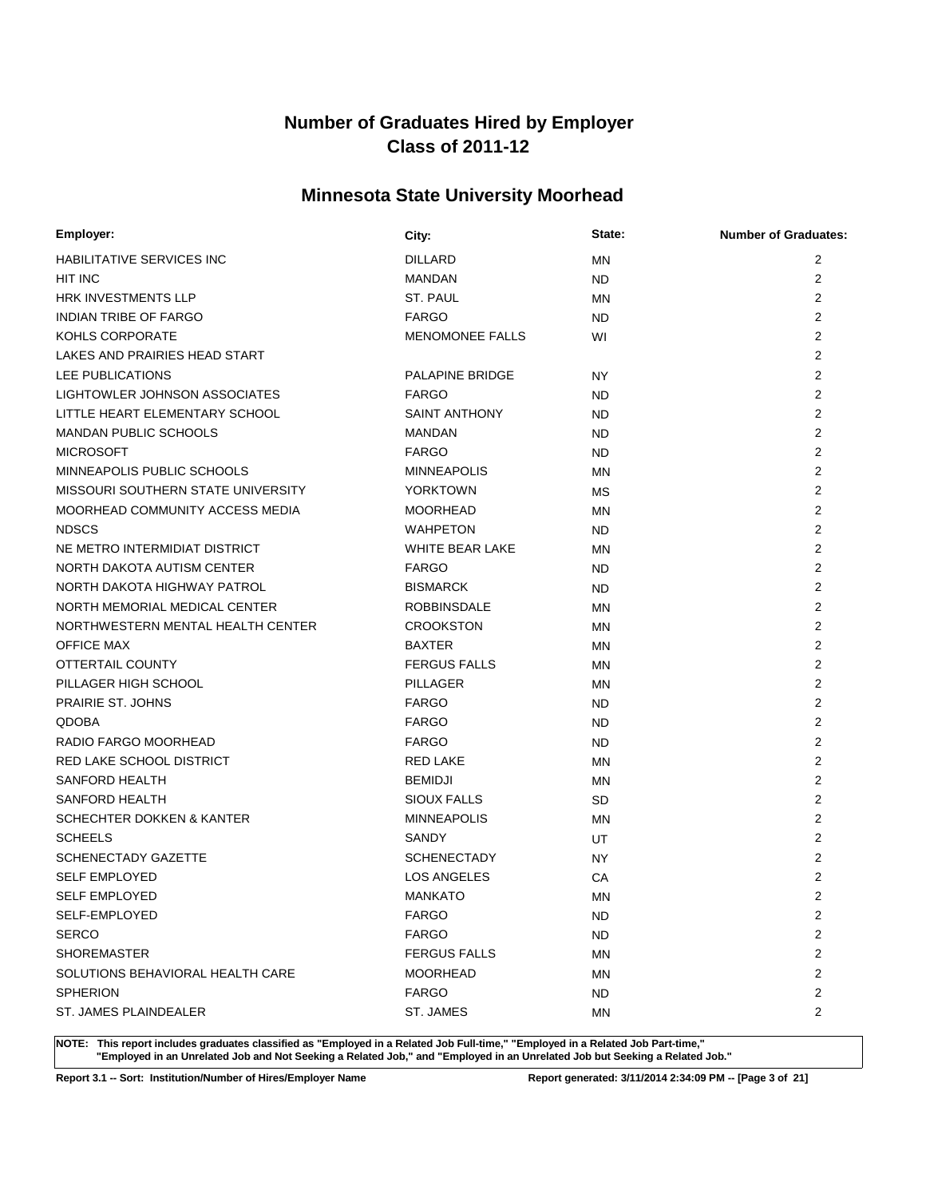# **Minnesota State University Moorhead**

| Employer:                            | City:                  | State:    | <b>Number of Graduates:</b> |
|--------------------------------------|------------------------|-----------|-----------------------------|
| HABILITATIVE SERVICES INC            | <b>DILLARD</b>         | <b>MN</b> | 2                           |
| HIT INC                              | <b>MANDAN</b>          | <b>ND</b> | $\overline{2}$              |
| <b>HRK INVESTMENTS LLP</b>           | ST. PAUL               | MN        | 2                           |
| <b>INDIAN TRIBE OF FARGO</b>         | <b>FARGO</b>           | ND        | 2                           |
| KOHLS CORPORATE                      | <b>MENOMONEE FALLS</b> | WI        | 2                           |
| LAKES AND PRAIRIES HEAD START        |                        |           | 2                           |
| LEE PUBLICATIONS                     | PALAPINE BRIDGE        | NY.       | 2                           |
| LIGHTOWLER JOHNSON ASSOCIATES        | <b>FARGO</b>           | ND        | 2                           |
| LITTLE HEART ELEMENTARY SCHOOL       | <b>SAINT ANTHONY</b>   | <b>ND</b> | $\overline{2}$              |
| <b>MANDAN PUBLIC SCHOOLS</b>         | <b>MANDAN</b>          | <b>ND</b> | $\overline{2}$              |
| <b>MICROSOFT</b>                     | <b>FARGO</b>           | <b>ND</b> | 2                           |
| MINNEAPOLIS PUBLIC SCHOOLS           | <b>MINNEAPOLIS</b>     | <b>MN</b> | 2                           |
| MISSOURI SOUTHERN STATE UNIVERSITY   | <b>YORKTOWN</b>        | МS        | 2                           |
| MOORHEAD COMMUNITY ACCESS MEDIA      | <b>MOORHEAD</b>        | <b>MN</b> | 2                           |
| <b>NDSCS</b>                         | <b>WAHPETON</b>        | ND.       | 2                           |
| NE METRO INTERMIDIAT DISTRICT        | <b>WHITE BEAR LAKE</b> | <b>MN</b> | $\overline{2}$              |
| NORTH DAKOTA AUTISM CENTER           | <b>FARGO</b>           | <b>ND</b> | 2                           |
| NORTH DAKOTA HIGHWAY PATROL          | <b>BISMARCK</b>        | ND        | $\overline{2}$              |
| NORTH MEMORIAL MEDICAL CENTER        | <b>ROBBINSDALE</b>     | <b>MN</b> | 2                           |
| NORTHWESTERN MENTAL HEALTH CENTER    | <b>CROOKSTON</b>       | MN        | 2                           |
| <b>OFFICE MAX</b>                    | <b>BAXTER</b>          | <b>MN</b> | $\overline{2}$              |
| OTTERTAIL COUNTY                     | <b>FERGUS FALLS</b>    | MN        | $\overline{2}$              |
| PILLAGER HIGH SCHOOL                 | PILLAGER               | <b>MN</b> | 2                           |
| PRAIRIE ST. JOHNS                    | <b>FARGO</b>           | ND.       | 2                           |
| <b>QDOBA</b>                         | <b>FARGO</b>           | <b>ND</b> | $\overline{2}$              |
| RADIO FARGO MOORHEAD                 | <b>FARGO</b>           | <b>ND</b> | $\overline{2}$              |
| RED LAKE SCHOOL DISTRICT             | <b>RED LAKE</b>        | <b>MN</b> | 2                           |
| SANFORD HEALTH                       | <b>BEMIDJI</b>         | <b>MN</b> | 2                           |
| SANFORD HEALTH                       | <b>SIOUX FALLS</b>     | <b>SD</b> | 2                           |
| <b>SCHECHTER DOKKEN &amp; KANTER</b> | <b>MINNEAPOLIS</b>     | ΜN        | 2                           |
| <b>SCHEELS</b>                       | SANDY                  | UT        | 2                           |
| <b>SCHENECTADY GAZETTE</b>           | <b>SCHENECTADY</b>     | NY        | 2                           |
| <b>SELF EMPLOYED</b>                 | <b>LOS ANGELES</b>     | CA        | $\overline{2}$              |
| <b>SELF EMPLOYED</b>                 | <b>MANKATO</b>         | <b>MN</b> | $\overline{2}$              |
| SELF-EMPLOYED                        | <b>FARGO</b>           | <b>ND</b> | $\overline{c}$              |
| <b>SERCO</b>                         | <b>FARGO</b>           | <b>ND</b> | 2                           |
| <b>SHOREMASTER</b>                   | <b>FERGUS FALLS</b>    | MN        | 2                           |
| SOLUTIONS BEHAVIORAL HEALTH CARE     | <b>MOORHEAD</b>        | ΜN        | 2                           |
| <b>SPHERION</b>                      | <b>FARGO</b>           | ND.       | $\overline{2}$              |
| ST. JAMES PLAINDEALER                | ST. JAMES              | ΜN        | $\overline{2}$              |

**NOTE: This report includes graduates classified as "Employed in a Related Job Full-time," "Employed in a Related Job Part-time," "Employed in an Unrelated Job and Not Seeking a Related Job," and "Employed in an Unrelated Job but Seeking a Related Job."**

**Report 3.1 -- Sort: Institution/Number of Hires/Employer Name Report generated: 3/11/2014 2:34:09 PM -- [Page 3 of 21]**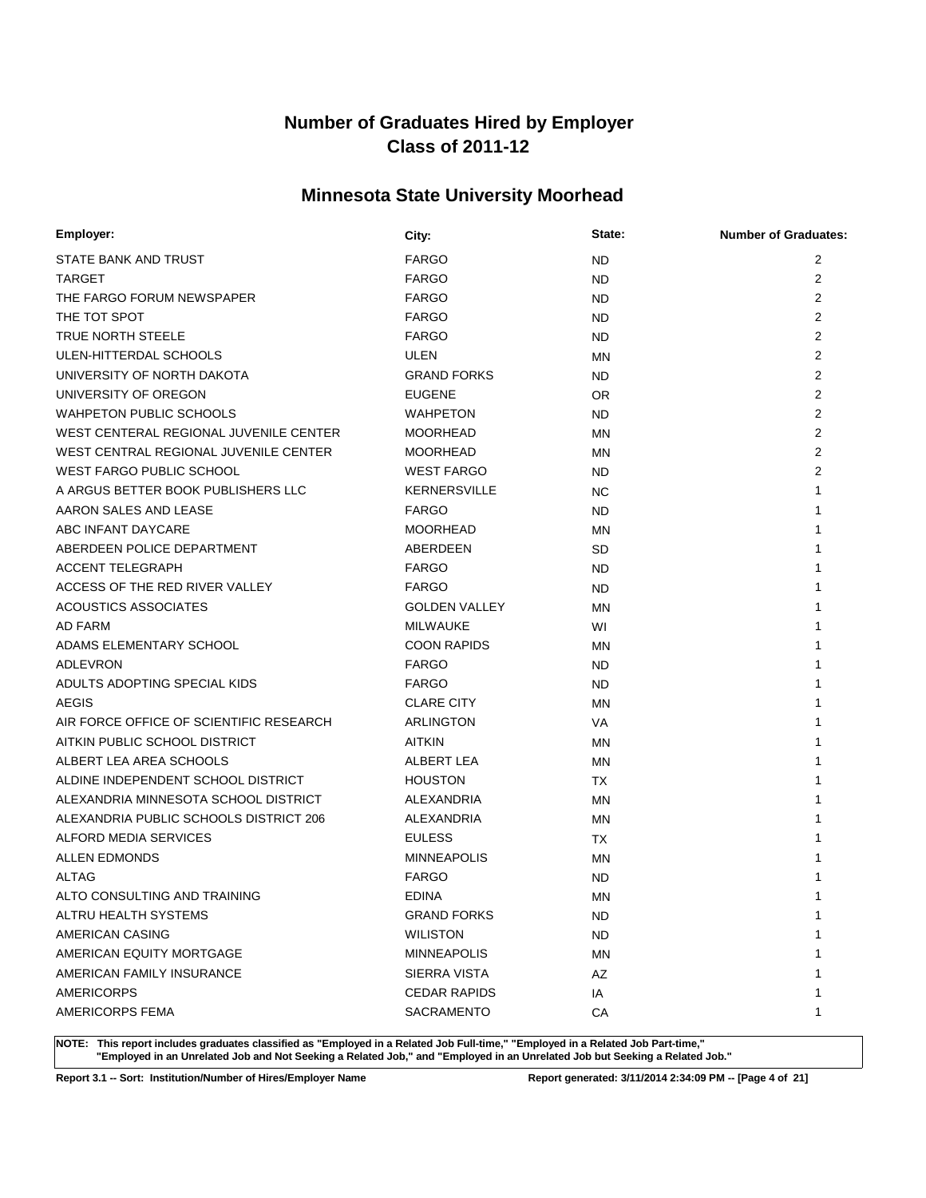# **Minnesota State University Moorhead**

| Employer:                               | City:                | State:    | <b>Number of Graduates:</b> |
|-----------------------------------------|----------------------|-----------|-----------------------------|
| STATE BANK AND TRUST                    | <b>FARGO</b>         | <b>ND</b> | 2                           |
| <b>TARGET</b>                           | <b>FARGO</b>         | ND        | $\overline{2}$              |
| THE FARGO FORUM NEWSPAPER               | <b>FARGO</b>         | <b>ND</b> | $\overline{2}$              |
| THE TOT SPOT                            | <b>FARGO</b>         | ND        | $\overline{2}$              |
| <b>TRUE NORTH STEELE</b>                | <b>FARGO</b>         | ND.       | $\overline{2}$              |
| ULEN-HITTERDAL SCHOOLS                  | ULEN                 | MN        | $\overline{2}$              |
| UNIVERSITY OF NORTH DAKOTA              | <b>GRAND FORKS</b>   | ND.       | $\overline{2}$              |
| UNIVERSITY OF OREGON                    | <b>EUGENE</b>        | <b>OR</b> | $\overline{2}$              |
| <b>WAHPETON PUBLIC SCHOOLS</b>          | WAHPETON             | ND.       | $\overline{2}$              |
| WEST CENTERAL REGIONAL JUVENILE CENTER  | <b>MOORHEAD</b>      | <b>MN</b> | $\overline{2}$              |
| WEST CENTRAL REGIONAL JUVENILE CENTER   | <b>MOORHEAD</b>      | <b>MN</b> | 2                           |
| <b>WEST FARGO PUBLIC SCHOOL</b>         | <b>WEST FARGO</b>    | ND.       | $\overline{2}$              |
| A ARGUS BETTER BOOK PUBLISHERS LLC      | <b>KERNERSVILLE</b>  | <b>NC</b> | 1                           |
| AARON SALES AND LEASE                   | <b>FARGO</b>         | ND        |                             |
| ABC INFANT DAYCARE                      | <b>MOORHEAD</b>      | <b>MN</b> |                             |
| ABERDEEN POLICE DEPARTMENT              | ABERDEEN             | <b>SD</b> |                             |
| <b>ACCENT TELEGRAPH</b>                 | <b>FARGO</b>         | <b>ND</b> |                             |
| ACCESS OF THE RED RIVER VALLEY          | <b>FARGO</b>         | <b>ND</b> |                             |
| <b>ACOUSTICS ASSOCIATES</b>             | <b>GOLDEN VALLEY</b> | <b>MN</b> |                             |
| <b>AD FARM</b>                          | <b>MILWAUKE</b>      | WI        |                             |
| ADAMS ELEMENTARY SCHOOL                 | <b>COON RAPIDS</b>   | <b>MN</b> |                             |
| ADLEVRON                                | <b>FARGO</b>         | ND.       |                             |
| ADULTS ADOPTING SPECIAL KIDS            | <b>FARGO</b>         | ND.       |                             |
| <b>AEGIS</b>                            | <b>CLARE CITY</b>    | <b>MN</b> |                             |
| AIR FORCE OFFICE OF SCIENTIFIC RESEARCH | ARLINGTON            | VA        |                             |
| AITKIN PUBLIC SCHOOL DISTRICT           | <b>AITKIN</b>        | <b>MN</b> |                             |
| ALBERT LEA AREA SCHOOLS                 | ALBERT LEA           | MN        |                             |
| ALDINE INDEPENDENT SCHOOL DISTRICT      | <b>HOUSTON</b>       | TX        |                             |
| ALEXANDRIA MINNESOTA SCHOOL DISTRICT    | ALEXANDRIA           | <b>MN</b> |                             |
| ALEXANDRIA PUBLIC SCHOOLS DISTRICT 206  | <b>ALEXANDRIA</b>    | <b>MN</b> |                             |
| ALFORD MEDIA SERVICES                   | <b>EULESS</b>        | ТX        |                             |
| <b>ALLEN EDMONDS</b>                    | <b>MINNEAPOLIS</b>   | <b>MN</b> |                             |
| <b>ALTAG</b>                            | <b>FARGO</b>         | <b>ND</b> |                             |
| ALTO CONSULTING AND TRAINING            | <b>EDINA</b>         | MN        | 1                           |
| ALTRU HEALTH SYSTEMS                    | <b>GRAND FORKS</b>   | <b>ND</b> | 1                           |
| AMERICAN CASING                         | <b>WILISTON</b>      | ND.       |                             |
| AMERICAN EQUITY MORTGAGE                | <b>MINNEAPOLIS</b>   | <b>MN</b> |                             |
| AMERICAN FAMILY INSURANCE               | <b>SIERRA VISTA</b>  | AZ        |                             |
| <b>AMERICORPS</b>                       | <b>CEDAR RAPIDS</b>  | IA        |                             |
| <b>AMERICORPS FEMA</b>                  | SACRAMENTO           | СA        | 1                           |

**NOTE: This report includes graduates classified as "Employed in a Related Job Full-time," "Employed in a Related Job Part-time," "Employed in an Unrelated Job and Not Seeking a Related Job," and "Employed in an Unrelated Job but Seeking a Related Job."**

**Report 3.1 -- Sort: Institution/Number of Hires/Employer Name Report generated: 3/11/2014 2:34:09 PM -- [Page 4 of 21]**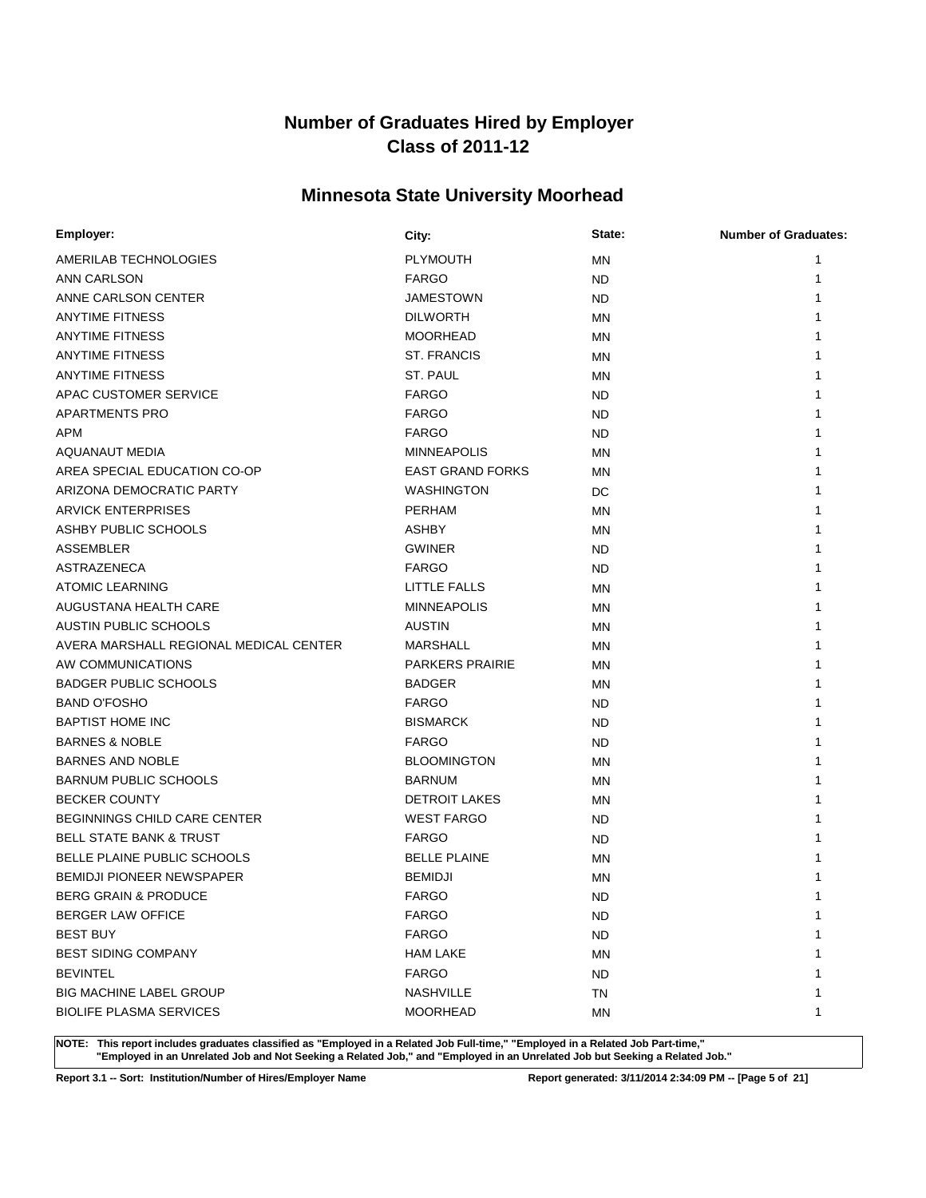# **Minnesota State University Moorhead**

| Employer:                              | City:                   | State:    | <b>Number of Graduates:</b> |
|----------------------------------------|-------------------------|-----------|-----------------------------|
| AMERILAB TECHNOLOGIES                  | <b>PLYMOUTH</b>         | ΜN        | 1                           |
| ANN CARLSON                            | <b>FARGO</b>            | ND.       | 1                           |
| ANNE CARLSON CENTER                    | <b>JAMESTOWN</b>        | ND.       |                             |
| <b>ANYTIME FITNESS</b>                 | <b>DILWORTH</b>         | MN        |                             |
| <b>ANYTIME FITNESS</b>                 | <b>MOORHEAD</b>         | ΜN        |                             |
| <b>ANYTIME FITNESS</b>                 | <b>ST. FRANCIS</b>      | ΜN        |                             |
| <b>ANYTIME FITNESS</b>                 | ST. PAUL                | ΜN        |                             |
| APAC CUSTOMER SERVICE                  | <b>FARGO</b>            | ND.       |                             |
| <b>APARTMENTS PRO</b>                  | <b>FARGO</b>            | ND.       |                             |
| APM                                    | <b>FARGO</b>            | ND.       |                             |
| <b>AQUANAUT MEDIA</b>                  | <b>MINNEAPOLIS</b>      | ΜN        |                             |
| AREA SPECIAL EDUCATION CO-OP           | <b>EAST GRAND FORKS</b> | ΜN        |                             |
| ARIZONA DEMOCRATIC PARTY               | <b>WASHINGTON</b>       | DC        |                             |
| <b>ARVICK ENTERPRISES</b>              | <b>PERHAM</b>           | ΜN        |                             |
| ASHBY PUBLIC SCHOOLS                   | ASHBY                   | ΜN        |                             |
| ASSEMBLER                              | <b>GWINER</b>           | ND        |                             |
| <b>ASTRAZENECA</b>                     | <b>FARGO</b>            | <b>ND</b> |                             |
| <b>ATOMIC LEARNING</b>                 | LITTLE FALLS            | MN        |                             |
| AUGUSTANA HEALTH CARE                  | <b>MINNEAPOLIS</b>      | MN        |                             |
| AUSTIN PUBLIC SCHOOLS                  | <b>AUSTIN</b>           | MN        |                             |
| AVERA MARSHALL REGIONAL MEDICAL CENTER | <b>MARSHALL</b>         | ΜN        |                             |
| AW COMMUNICATIONS                      | <b>PARKERS PRAIRIE</b>  | ΜN        |                             |
| <b>BADGER PUBLIC SCHOOLS</b>           | <b>BADGER</b>           | ΜN        |                             |
| <b>BAND O'FOSHO</b>                    | <b>FARGO</b>            | ND.       |                             |
| <b>BAPTIST HOME INC</b>                | <b>BISMARCK</b>         | ND.       |                             |
| <b>BARNES &amp; NOBLE</b>              | <b>FARGO</b>            | ND.       |                             |
| <b>BARNES AND NOBLE</b>                | <b>BLOOMINGTON</b>      | MN        |                             |
| <b>BARNUM PUBLIC SCHOOLS</b>           | <b>BARNUM</b>           | <b>MN</b> |                             |
| <b>BECKER COUNTY</b>                   | <b>DETROIT LAKES</b>    | ΜN        |                             |
| <b>BEGINNINGS CHILD CARE CENTER</b>    | <b>WEST FARGO</b>       | ND.       |                             |
| <b>BELL STATE BANK &amp; TRUST</b>     | <b>FARGO</b>            | ND.       |                             |
| BELLE PLAINE PUBLIC SCHOOLS            | <b>BELLE PLAINE</b>     | MN        |                             |
| BEMIDJI PIONEER NEWSPAPER              | <b>BEMIDJI</b>          | <b>MN</b> |                             |
| BERG GRAIN & PRODUCE                   | <b>FARGO</b>            | <b>ND</b> | 1                           |
| <b>BERGER LAW OFFICE</b>               | <b>FARGO</b>            | ND.       | 1                           |
| <b>BEST BUY</b>                        | <b>FARGO</b>            | <b>ND</b> |                             |
| <b>BEST SIDING COMPANY</b>             | <b>HAM LAKE</b>         | ΜN        |                             |
| <b>BEVINTEL</b>                        | <b>FARGO</b>            | <b>ND</b> |                             |
| <b>BIG MACHINE LABEL GROUP</b>         | NASHVILLE               | TN        |                             |
| <b>BIOLIFE PLASMA SERVICES</b>         | <b>MOORHEAD</b>         | MN        | 1                           |

**NOTE: This report includes graduates classified as "Employed in a Related Job Full-time," "Employed in a Related Job Part-time," "Employed in an Unrelated Job and Not Seeking a Related Job," and "Employed in an Unrelated Job but Seeking a Related Job."**

**Report 3.1 -- Sort: Institution/Number of Hires/Employer Name Report generated: 3/11/2014 2:34:09 PM -- [Page 5 of 21]**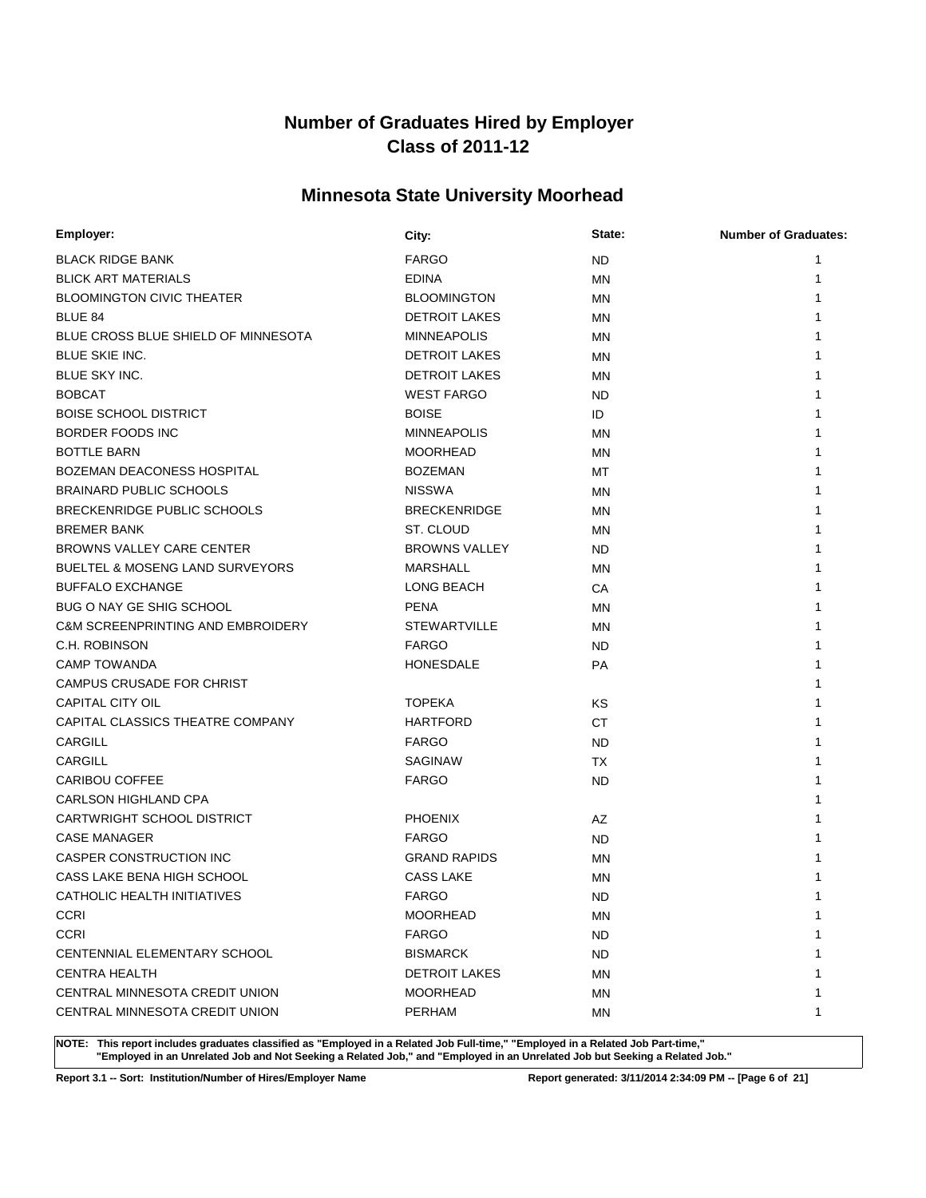# **Minnesota State University Moorhead**

| Employer:                                    | City:                | State:    | <b>Number of Graduates:</b> |
|----------------------------------------------|----------------------|-----------|-----------------------------|
| <b>BLACK RIDGE BANK</b>                      | <b>FARGO</b>         | <b>ND</b> |                             |
| <b>BLICK ART MATERIALS</b>                   | <b>EDINA</b>         | <b>MN</b> | 1                           |
| <b>BLOOMINGTON CIVIC THEATER</b>             | <b>BLOOMINGTON</b>   | <b>MN</b> |                             |
| BLUE 84                                      | <b>DETROIT LAKES</b> | MN        |                             |
| BLUE CROSS BLUE SHIELD OF MINNESOTA          | <b>MINNEAPOLIS</b>   | <b>MN</b> |                             |
| <b>BLUE SKIE INC.</b>                        | <b>DETROIT LAKES</b> | MN        |                             |
| BLUE SKY INC.                                | <b>DETROIT LAKES</b> | <b>MN</b> |                             |
| <b>BOBCAT</b>                                | <b>WEST FARGO</b>    | ND        |                             |
| <b>BOISE SCHOOL DISTRICT</b>                 | <b>BOISE</b>         | ID        |                             |
| BORDER FOODS INC                             | <b>MINNEAPOLIS</b>   | <b>MN</b> |                             |
| <b>BOTTLE BARN</b>                           | <b>MOORHEAD</b>      | <b>MN</b> |                             |
| BOZEMAN DEACONESS HOSPITAL                   | <b>BOZEMAN</b>       | МT        |                             |
| <b>BRAINARD PUBLIC SCHOOLS</b>               | <b>NISSWA</b>        | ΜN        |                             |
| <b>BRECKENRIDGE PUBLIC SCHOOLS</b>           | <b>BRECKENRIDGE</b>  | MN        |                             |
| <b>BREMER BANK</b>                           | ST. CLOUD            | <b>MN</b> |                             |
| BROWNS VALLEY CARE CENTER                    | <b>BROWNS VALLEY</b> | ND.       |                             |
| <b>BUELTEL &amp; MOSENG LAND SURVEYORS</b>   | MARSHALL             | <b>MN</b> |                             |
| <b>BUFFALO EXCHANGE</b>                      | LONG BEACH           | CA        |                             |
| BUG O NAY GE SHIG SCHOOL                     | <b>PENA</b>          | <b>MN</b> |                             |
| <b>C&amp;M SCREENPRINTING AND EMBROIDERY</b> | <b>STEWARTVILLE</b>  | <b>MN</b> |                             |
| C.H. ROBINSON                                | <b>FARGO</b>         | ND.       |                             |
| <b>CAMP TOWANDA</b>                          | <b>HONESDALE</b>     | PA        |                             |
| CAMPUS CRUSADE FOR CHRIST                    |                      |           |                             |
| CAPITAL CITY OIL                             | <b>TOPEKA</b>        | KS        |                             |
| CAPITAL CLASSICS THEATRE COMPANY             | <b>HARTFORD</b>      | <b>CT</b> |                             |
| <b>CARGILL</b>                               | <b>FARGO</b>         | ND        |                             |
| <b>CARGILL</b>                               | SAGINAW              | TX        |                             |
| <b>CARIBOU COFFEE</b>                        | <b>FARGO</b>         | ND        |                             |
| <b>CARLSON HIGHLAND CPA</b>                  |                      |           |                             |
| CARTWRIGHT SCHOOL DISTRICT                   | <b>PHOENIX</b>       | AZ        |                             |
| <b>CASE MANAGER</b>                          | <b>FARGO</b>         | ND        |                             |
| CASPER CONSTRUCTION INC                      | <b>GRAND RAPIDS</b>  | <b>MN</b> |                             |
| CASS LAKE BENA HIGH SCHOOL                   | <b>CASS LAKE</b>     | MN        |                             |
| CATHOLIC HEALTH INITIATIVES                  | <b>FARGO</b>         | <b>ND</b> | 1                           |
| <b>CCRI</b>                                  | <b>MOORHEAD</b>      | MN        | 1                           |
| <b>CCRI</b>                                  | <b>FARGO</b>         | ND.       |                             |
| CENTENNIAL ELEMENTARY SCHOOL                 | <b>BISMARCK</b>      | ND.       |                             |
| <b>CENTRA HEALTH</b>                         | <b>DETROIT LAKES</b> | ΜN        |                             |
| CENTRAL MINNESOTA CREDIT UNION               | <b>MOORHEAD</b>      | ΜN        |                             |
| CENTRAL MINNESOTA CREDIT UNION               | PERHAM               | ΜN        | 1                           |

**NOTE: This report includes graduates classified as "Employed in a Related Job Full-time," "Employed in a Related Job Part-time," "Employed in an Unrelated Job and Not Seeking a Related Job," and "Employed in an Unrelated Job but Seeking a Related Job."**

**Report 3.1 -- Sort: Institution/Number of Hires/Employer Name Report generated: 3/11/2014 2:34:09 PM -- [Page 6 of 21]**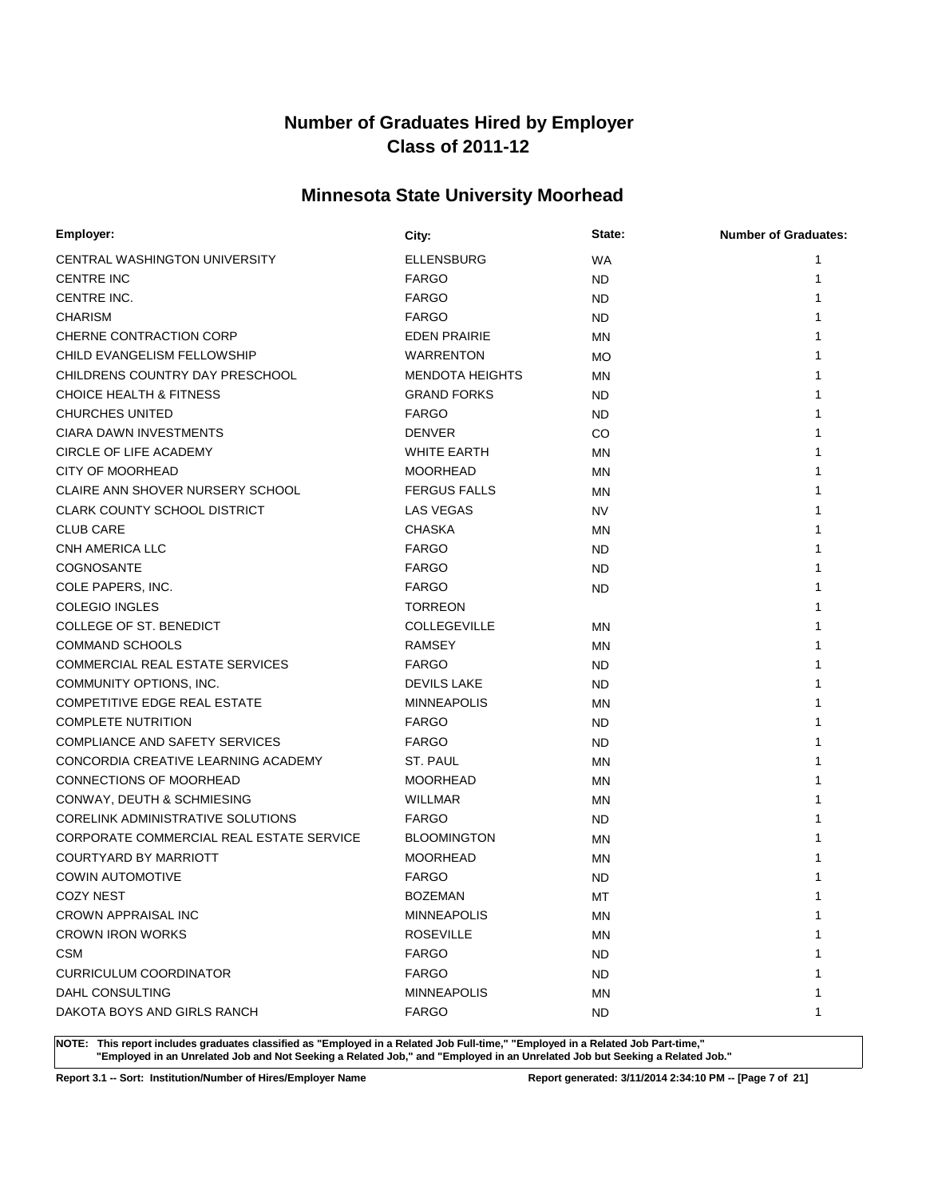# **Minnesota State University Moorhead**

| Employer:                                | City:                  | State:    | <b>Number of Graduates:</b> |
|------------------------------------------|------------------------|-----------|-----------------------------|
| CENTRAL WASHINGTON UNIVERSITY            | <b>ELLENSBURG</b>      | WA        | 1                           |
| <b>CENTRE INC</b>                        | <b>FARGO</b>           | ND.       | 1                           |
| CENTRE INC.                              | <b>FARGO</b>           | ND.       |                             |
| <b>CHARISM</b>                           | <b>FARGO</b>           | ND.       |                             |
| CHERNE CONTRACTION CORP                  | <b>EDEN PRAIRIE</b>    | ΜN        |                             |
| CHILD EVANGELISM FELLOWSHIP              | <b>WARRENTON</b>       | <b>MO</b> |                             |
| CHILDRENS COUNTRY DAY PRESCHOOL          | <b>MENDOTA HEIGHTS</b> | ΜN        |                             |
| <b>CHOICE HEALTH &amp; FITNESS</b>       | <b>GRAND FORKS</b>     | ND.       |                             |
| <b>CHURCHES UNITED</b>                   | <b>FARGO</b>           | ND.       |                             |
| CIARA DAWN INVESTMENTS                   | <b>DENVER</b>          | CO        |                             |
| CIRCLE OF LIFE ACADEMY                   | <b>WHITE EARTH</b>     | ΜN        |                             |
| <b>CITY OF MOORHEAD</b>                  | <b>MOORHEAD</b>        | ΜN        |                             |
| CLAIRE ANN SHOVER NURSERY SCHOOL         | <b>FERGUS FALLS</b>    | ΜN        |                             |
| <b>CLARK COUNTY SCHOOL DISTRICT</b>      | LAS VEGAS              | NV        |                             |
| <b>CLUB CARE</b>                         | <b>CHASKA</b>          | ΜN        |                             |
| CNH AMERICA LLC                          | <b>FARGO</b>           | ND.       |                             |
| COGNOSANTE                               | <b>FARGO</b>           | ND.       |                             |
| COLE PAPERS, INC.                        | <b>FARGO</b>           | ND.       |                             |
| <b>COLEGIO INGLES</b>                    | <b>TORREON</b>         |           |                             |
| <b>COLLEGE OF ST. BENEDICT</b>           | <b>COLLEGEVILLE</b>    | ΜN        |                             |
| <b>COMMAND SCHOOLS</b>                   | <b>RAMSEY</b>          | ΜN        |                             |
| COMMERCIAL REAL ESTATE SERVICES          | <b>FARGO</b>           | ND.       |                             |
| COMMUNITY OPTIONS, INC.                  | <b>DEVILS LAKE</b>     | ND.       |                             |
| <b>COMPETITIVE EDGE REAL ESTATE</b>      | <b>MINNEAPOLIS</b>     | MN        |                             |
| <b>COMPLETE NUTRITION</b>                | <b>FARGO</b>           | ND.       |                             |
| <b>COMPLIANCE AND SAFETY SERVICES</b>    | <b>FARGO</b>           | ND.       |                             |
| CONCORDIA CREATIVE LEARNING ACADEMY      | ST. PAUL               | ΜN        |                             |
| CONNECTIONS OF MOORHEAD                  | <b>MOORHEAD</b>        | ΜN        |                             |
| CONWAY, DEUTH & SCHMIESING               | <b>WILLMAR</b>         | ΜN        |                             |
| <b>CORELINK ADMINISTRATIVE SOLUTIONS</b> | <b>FARGO</b>           | ND.       |                             |
| CORPORATE COMMERCIAL REAL ESTATE SERVICE | <b>BLOOMINGTON</b>     | <b>MN</b> |                             |
| COURTYARD BY MARRIOTT                    | <b>MOORHEAD</b>        | MN        |                             |
| <b>COWIN AUTOMOTIVE</b>                  | <b>FARGO</b>           | <b>ND</b> |                             |
| <b>COZY NEST</b>                         | <b>BOZEMAN</b>         | МT        |                             |
| CROWN APPRAISAL INC                      | <b>MINNEAPOLIS</b>     | ΜN        | 1                           |
| <b>CROWN IRON WORKS</b>                  | <b>ROSEVILLE</b>       | ΜN        |                             |
| <b>CSM</b>                               | <b>FARGO</b>           | ND.       |                             |
| <b>CURRICULUM COORDINATOR</b>            | <b>FARGO</b>           | ND.       |                             |
| DAHL CONSULTING                          | <b>MINNEAPOLIS</b>     | ΜN        |                             |
| DAKOTA BOYS AND GIRLS RANCH              | <b>FARGO</b>           | ND.       | 1                           |

**NOTE: This report includes graduates classified as "Employed in a Related Job Full-time," "Employed in a Related Job Part-time," "Employed in an Unrelated Job and Not Seeking a Related Job," and "Employed in an Unrelated Job but Seeking a Related Job."**

**Report 3.1 -- Sort: Institution/Number of Hires/Employer Name Report generated: 3/11/2014 2:34:10 PM -- [Page 7 of 21]**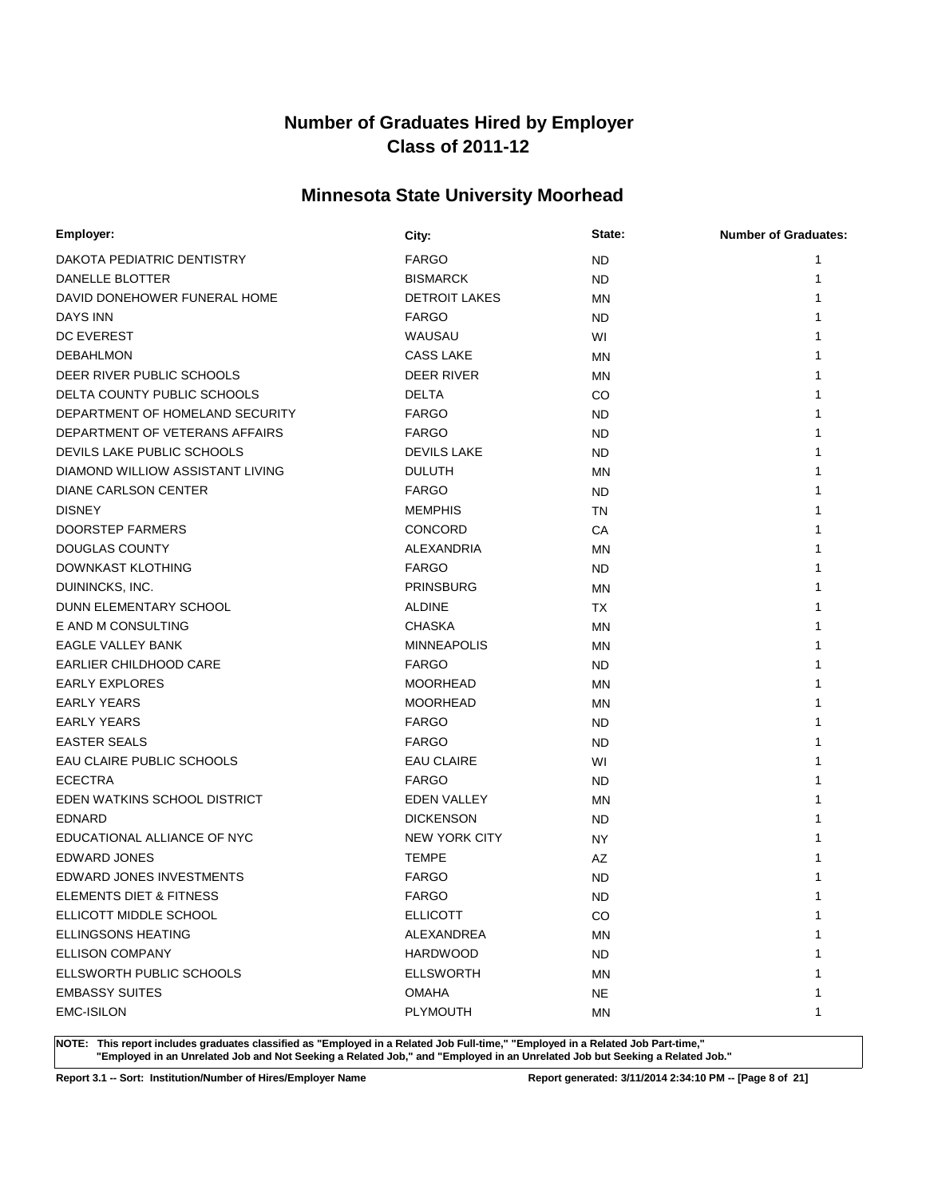# **Minnesota State University Moorhead**

| Employer:                        | City:                | State:    | <b>Number of Graduates:</b> |
|----------------------------------|----------------------|-----------|-----------------------------|
| DAKOTA PEDIATRIC DENTISTRY       | <b>FARGO</b>         | <b>ND</b> | 1                           |
| DANELLE BLOTTER                  | <b>BISMARCK</b>      | <b>ND</b> | 1                           |
| DAVID DONEHOWER FUNERAL HOME     | <b>DETROIT LAKES</b> | MN        |                             |
| <b>DAYS INN</b>                  | <b>FARGO</b>         | ND        |                             |
| <b>DC EVEREST</b>                | WAUSAU               | WI        |                             |
| <b>DEBAHLMON</b>                 | <b>CASS LAKE</b>     | MN        |                             |
| DEER RIVER PUBLIC SCHOOLS        | <b>DEER RIVER</b>    | ΜN        |                             |
| DELTA COUNTY PUBLIC SCHOOLS      | <b>DELTA</b>         | CO        |                             |
| DEPARTMENT OF HOMELAND SECURITY  | <b>FARGO</b>         | ND        |                             |
| DEPARTMENT OF VETERANS AFFAIRS   | <b>FARGO</b>         | <b>ND</b> |                             |
| DEVILS LAKE PUBLIC SCHOOLS       | <b>DEVILS LAKE</b>   | <b>ND</b> |                             |
| DIAMOND WILLIOW ASSISTANT LIVING | <b>DULUTH</b>        | <b>MN</b> |                             |
| DIANE CARLSON CENTER             | <b>FARGO</b>         | <b>ND</b> |                             |
| <b>DISNEY</b>                    | <b>MEMPHIS</b>       | TN        |                             |
| <b>DOORSTEP FARMERS</b>          | <b>CONCORD</b>       | CA        |                             |
| <b>DOUGLAS COUNTY</b>            | ALEXANDRIA           | MN        |                             |
| DOWNKAST KLOTHING                | <b>FARGO</b>         | <b>ND</b> |                             |
| DUININCKS, INC.                  | <b>PRINSBURG</b>     | MN        |                             |
| DUNN ELEMENTARY SCHOOL           | <b>ALDINE</b>        | ТX        |                             |
| E AND M CONSULTING               | <b>CHASKA</b>        | <b>MN</b> |                             |
| EAGLE VALLEY BANK                | <b>MINNEAPOLIS</b>   | MN        |                             |
| EARLIER CHILDHOOD CARE           | <b>FARGO</b>         | ND.       |                             |
| <b>EARLY EXPLORES</b>            | <b>MOORHEAD</b>      | MN        |                             |
| <b>EARLY YEARS</b>               | <b>MOORHEAD</b>      | MN        |                             |
| <b>EARLY YEARS</b>               | <b>FARGO</b>         | ND        |                             |
| <b>EASTER SEALS</b>              | <b>FARGO</b>         | <b>ND</b> |                             |
| EAU CLAIRE PUBLIC SCHOOLS        | <b>EAU CLAIRE</b>    | WI        |                             |
| <b>ECECTRA</b>                   | <b>FARGO</b>         | <b>ND</b> |                             |
| EDEN WATKINS SCHOOL DISTRICT     | <b>EDEN VALLEY</b>   | MN        |                             |
| <b>EDNARD</b>                    | <b>DICKENSON</b>     | ND.       |                             |
| EDUCATIONAL ALLIANCE OF NYC      | <b>NEW YORK CITY</b> | ΝY        |                             |
| EDWARD JONES                     | <b>TEMPE</b>         | AΖ        |                             |
| <b>EDWARD JONES INVESTMENTS</b>  | <b>FARGO</b>         | <b>ND</b> |                             |
| ELEMENTS DIET & FITNESS          | <b>FARGO</b>         | <b>ND</b> | 1                           |
| ELLICOTT MIDDLE SCHOOL           | <b>ELLICOTT</b>      | CO        | 1                           |
| <b>ELLINGSONS HEATING</b>        | ALEXANDREA           | <b>MN</b> |                             |
| <b>ELLISON COMPANY</b>           | <b>HARDWOOD</b>      | <b>ND</b> |                             |
| ELLSWORTH PUBLIC SCHOOLS         | <b>ELLSWORTH</b>     | MN        |                             |
| <b>EMBASSY SUITES</b>            | <b>OMAHA</b>         | NE.       |                             |
| <b>EMC-ISILON</b>                | <b>PLYMOUTH</b>      | MN        | 1                           |

**NOTE: This report includes graduates classified as "Employed in a Related Job Full-time," "Employed in a Related Job Part-time," "Employed in an Unrelated Job and Not Seeking a Related Job," and "Employed in an Unrelated Job but Seeking a Related Job."**

**Report 3.1 -- Sort: Institution/Number of Hires/Employer Name Report generated: 3/11/2014 2:34:10 PM -- [Page 8 of 21]**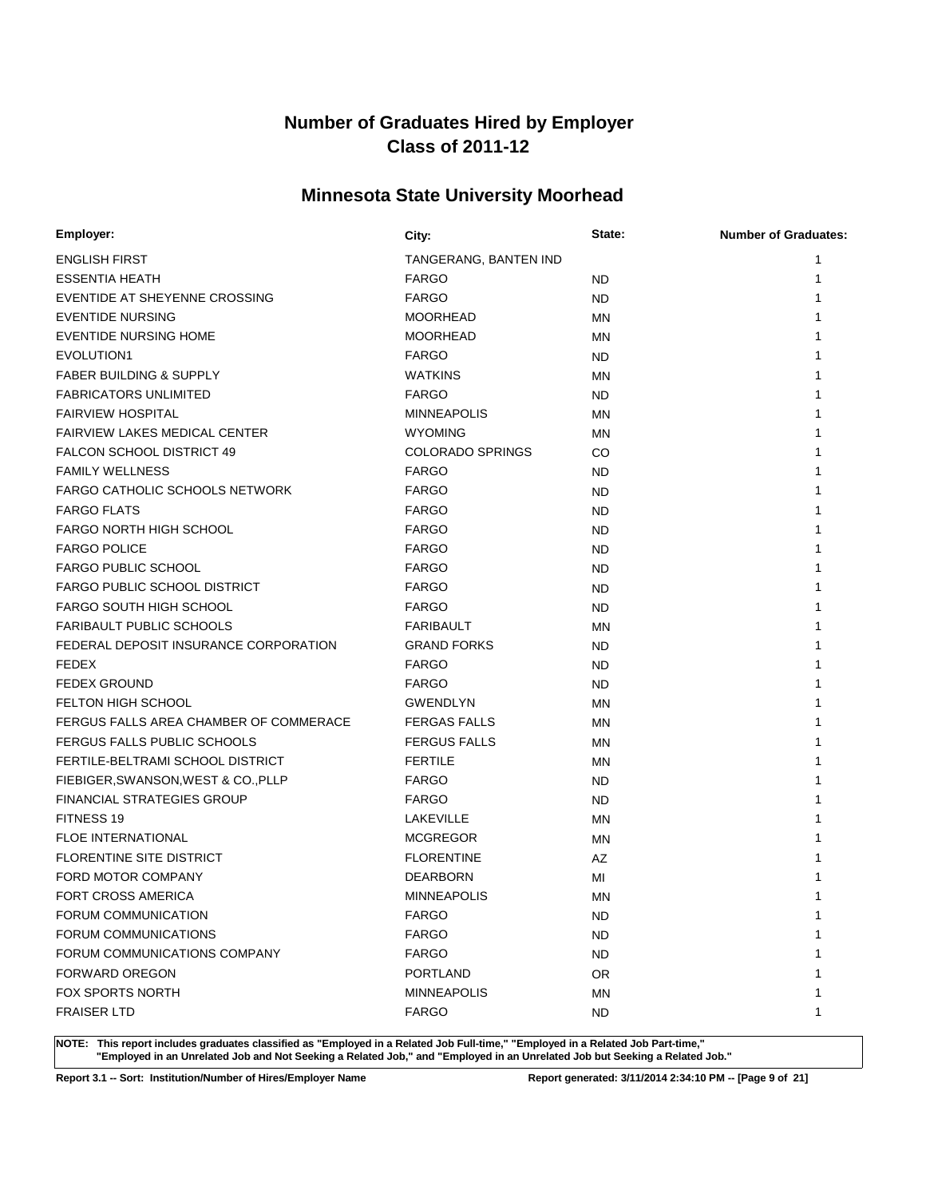# **Minnesota State University Moorhead**

| Employer:                              | City:                   | State:    | <b>Number of Graduates:</b> |
|----------------------------------------|-------------------------|-----------|-----------------------------|
| <b>ENGLISH FIRST</b>                   | TANGERANG, BANTEN IND   |           | 1                           |
| <b>ESSENTIA HEATH</b>                  | <b>FARGO</b>            | ND.       | 1                           |
| EVENTIDE AT SHEYENNE CROSSING          | <b>FARGO</b>            | ND.       |                             |
| <b>EVENTIDE NURSING</b>                | <b>MOORHEAD</b>         | ΜN        |                             |
| <b>EVENTIDE NURSING HOME</b>           | <b>MOORHEAD</b>         | <b>MN</b> |                             |
| EVOLUTION1                             | <b>FARGO</b>            | ND.       |                             |
| <b>FABER BUILDING &amp; SUPPLY</b>     | <b>WATKINS</b>          | ΜN        |                             |
| <b>FABRICATORS UNLIMITED</b>           | <b>FARGO</b>            | ND.       |                             |
| <b>FAIRVIEW HOSPITAL</b>               | <b>MINNEAPOLIS</b>      | MN        |                             |
| <b>FAIRVIEW LAKES MEDICAL CENTER</b>   | <b>WYOMING</b>          | MN        |                             |
| <b>FALCON SCHOOL DISTRICT 49</b>       | <b>COLORADO SPRINGS</b> | CO        |                             |
| <b>FAMILY WELLNESS</b>                 | <b>FARGO</b>            | ND.       |                             |
| <b>FARGO CATHOLIC SCHOOLS NETWORK</b>  | <b>FARGO</b>            | ND.       |                             |
| <b>FARGO FLATS</b>                     | <b>FARGO</b>            | ND.       |                             |
| FARGO NORTH HIGH SCHOOL                | <b>FARGO</b>            | <b>ND</b> |                             |
| <b>FARGO POLICE</b>                    | <b>FARGO</b>            | <b>ND</b> |                             |
| <b>FARGO PUBLIC SCHOOL</b>             | <b>FARGO</b>            | ND.       |                             |
| FARGO PUBLIC SCHOOL DISTRICT           | <b>FARGO</b>            | ND.       |                             |
| <b>FARGO SOUTH HIGH SCHOOL</b>         | <b>FARGO</b>            | ND.       |                             |
| <b>FARIBAULT PUBLIC SCHOOLS</b>        | <b>FARIBAULT</b>        | MN        |                             |
| FEDERAL DEPOSIT INSURANCE CORPORATION  | <b>GRAND FORKS</b>      | ND.       |                             |
| <b>FEDEX</b>                           | <b>FARGO</b>            | ND.       |                             |
| <b>FEDEX GROUND</b>                    | <b>FARGO</b>            | ND.       |                             |
| <b>FELTON HIGH SCHOOL</b>              | GWENDLYN                | ΜN        |                             |
| FERGUS FALLS AREA CHAMBER OF COMMERACE | <b>FERGAS FALLS</b>     | ΜN        |                             |
| FERGUS FALLS PUBLIC SCHOOLS            | <b>FERGUS FALLS</b>     | MN        |                             |
| FERTILE-BELTRAMI SCHOOL DISTRICT       | <b>FERTILE</b>          | ΜN        |                             |
| FIEBIGER, SWANSON, WEST & CO., PLLP    | <b>FARGO</b>            | ND.       |                             |
| <b>FINANCIAL STRATEGIES GROUP</b>      | <b>FARGO</b>            | ND.       |                             |
| FITNESS 19                             | <b>LAKEVILLE</b>        | <b>MN</b> |                             |
| <b>FLOE INTERNATIONAL</b>              | <b>MCGREGOR</b>         | MN        |                             |
| FLORENTINE SITE DISTRICT               | <b>FLORENTINE</b>       | AZ        |                             |
| FORD MOTOR COMPANY                     | <b>DEARBORN</b>         | MI        |                             |
| FORT CROSS AMERICA                     | <b>MINNEAPOLIS</b>      | <b>MN</b> |                             |
| FORUM COMMUNICATION                    | <b>FARGO</b>            | <b>ND</b> | 1                           |
| FORUM COMMUNICATIONS                   | <b>FARGO</b>            | <b>ND</b> |                             |
| FORUM COMMUNICATIONS COMPANY           | <b>FARGO</b>            | <b>ND</b> |                             |
| <b>FORWARD OREGON</b>                  | PORTLAND                | <b>OR</b> |                             |
| <b>FOX SPORTS NORTH</b>                | <b>MINNEAPOLIS</b>      | <b>MN</b> |                             |
| <b>FRAISER LTD</b>                     | <b>FARGO</b>            | <b>ND</b> | 1                           |

**NOTE: This report includes graduates classified as "Employed in a Related Job Full-time," "Employed in a Related Job Part-time," "Employed in an Unrelated Job and Not Seeking a Related Job," and "Employed in an Unrelated Job but Seeking a Related Job."**

**Report 3.1 -- Sort: Institution/Number of Hires/Employer Name Report generated: 3/11/2014 2:34:10 PM -- [Page 9 of 21]**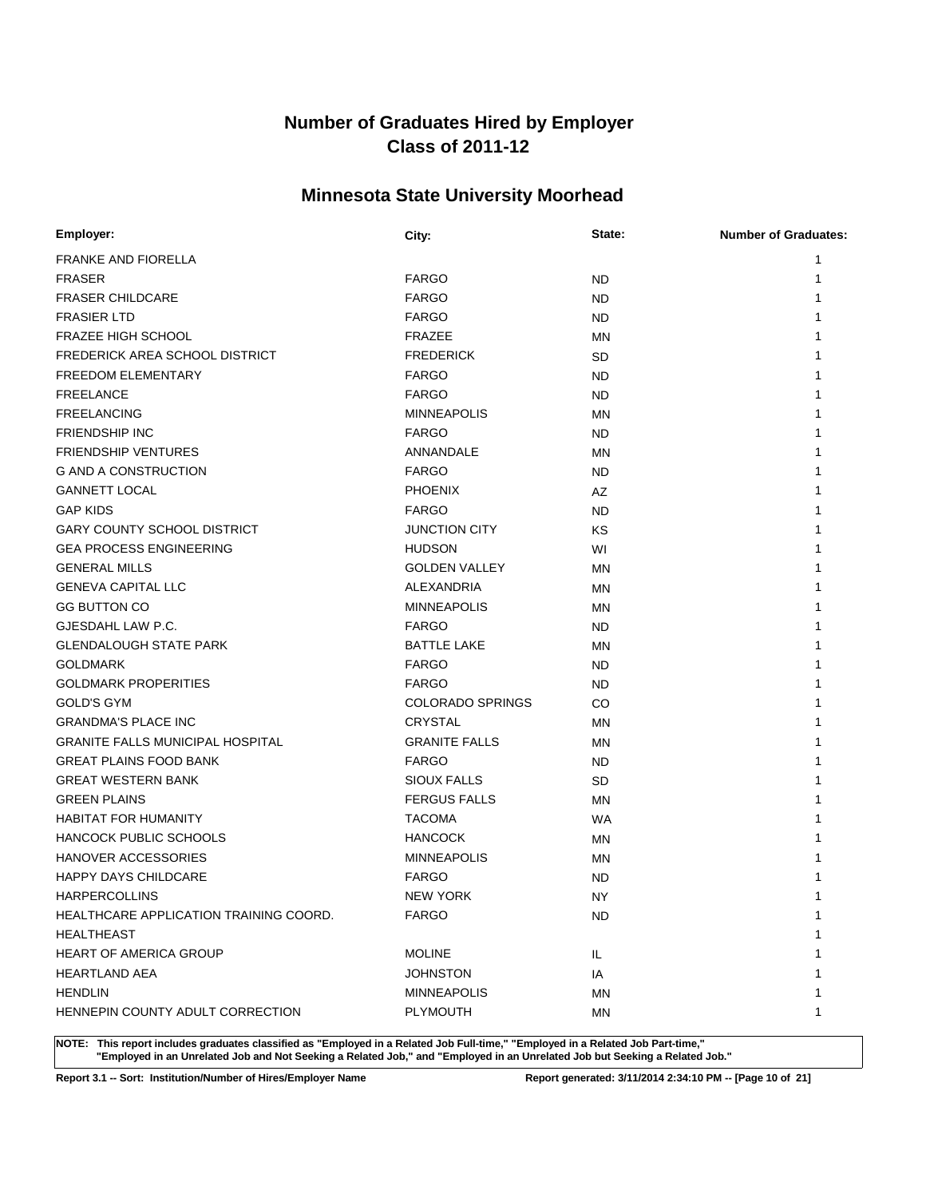# **Minnesota State University Moorhead**

| Employer:                               | City:                   | State:    | <b>Number of Graduates:</b> |
|-----------------------------------------|-------------------------|-----------|-----------------------------|
| <b>FRANKE AND FIORELLA</b>              |                         |           | 1                           |
| <b>FRASER</b>                           | <b>FARGO</b>            | ND        | 1                           |
| <b>FRASER CHILDCARE</b>                 | <b>FARGO</b>            | ND        |                             |
| <b>FRASIER LTD</b>                      | <b>FARGO</b>            | ND        |                             |
| <b>FRAZEE HIGH SCHOOL</b>               | FRAZEE                  | MN        |                             |
| FREDERICK AREA SCHOOL DISTRICT          | <b>FREDERICK</b>        | <b>SD</b> |                             |
| <b>FREEDOM ELEMENTARY</b>               | <b>FARGO</b>            | <b>ND</b> |                             |
| <b>FREELANCE</b>                        | <b>FARGO</b>            | ND        |                             |
| <b>FREELANCING</b>                      | <b>MINNEAPOLIS</b>      | ΜN        |                             |
| <b>FRIENDSHIP INC</b>                   | <b>FARGO</b>            | ND.       |                             |
| <b>FRIENDSHIP VENTURES</b>              | ANNANDALE               | MN        |                             |
| <b>G AND A CONSTRUCTION</b>             | <b>FARGO</b>            | ND        |                             |
| <b>GANNETT LOCAL</b>                    | <b>PHOENIX</b>          | AZ        |                             |
| <b>GAP KIDS</b>                         | <b>FARGO</b>            | ND        |                             |
| <b>GARY COUNTY SCHOOL DISTRICT</b>      | <b>JUNCTION CITY</b>    | KS        |                             |
| <b>GEA PROCESS ENGINEERING</b>          | <b>HUDSON</b>           | WI        |                             |
| <b>GENERAL MILLS</b>                    | <b>GOLDEN VALLEY</b>    | ΜN        |                             |
| <b>GENEVA CAPITAL LLC</b>               | ALEXANDRIA              | ΜN        |                             |
| <b>GG BUTTON CO</b>                     | <b>MINNEAPOLIS</b>      | ΜN        |                             |
| GJESDAHL LAW P.C.                       | <b>FARGO</b>            | ND        |                             |
| <b>GLENDALOUGH STATE PARK</b>           | <b>BATTLE LAKE</b>      | ΜN        |                             |
| <b>GOLDMARK</b>                         | <b>FARGO</b>            | ND.       |                             |
| <b>GOLDMARK PROPERITIES</b>             | <b>FARGO</b>            | ND.       |                             |
| <b>GOLD'S GYM</b>                       | <b>COLORADO SPRINGS</b> | CO        |                             |
| <b>GRANDMA'S PLACE INC</b>              | <b>CRYSTAL</b>          | ΜN        |                             |
| <b>GRANITE FALLS MUNICIPAL HOSPITAL</b> | <b>GRANITE FALLS</b>    | MN        |                             |
| <b>GREAT PLAINS FOOD BANK</b>           | <b>FARGO</b>            | ND        |                             |
| <b>GREAT WESTERN BANK</b>               | <b>SIOUX FALLS</b>      | SD        |                             |
| <b>GREEN PLAINS</b>                     | <b>FERGUS FALLS</b>     | MN        |                             |
| <b>HABITAT FOR HUMANITY</b>             | <b>TACOMA</b>           | <b>WA</b> |                             |
| HANCOCK PUBLIC SCHOOLS                  | <b>HANCOCK</b>          | ΜN        |                             |
| <b>HANOVER ACCESSORIES</b>              | <b>MINNEAPOLIS</b>      | MN        |                             |
| <b>HAPPY DAYS CHILDCARE</b>             | <b>FARGO</b>            | ND        |                             |
| <b>HARPERCOLLINS</b>                    | <b>NEW YORK</b>         | <b>NY</b> | 1                           |
| HEALTHCARE APPLICATION TRAINING COORD.  | <b>FARGO</b>            | <b>ND</b> | 1                           |
| <b>HEALTHEAST</b>                       |                         |           | 1                           |
| <b>HEART OF AMERICA GROUP</b>           | <b>MOLINE</b>           | IL.       |                             |
| <b>HEARTLAND AEA</b>                    | <b>JOHNSTON</b>         | IA        |                             |
| <b>HENDLIN</b>                          | <b>MINNEAPOLIS</b>      | ΜN        | 1                           |
| HENNEPIN COUNTY ADULT CORRECTION        | <b>PLYMOUTH</b>         | ΜN        | 1                           |

**NOTE: This report includes graduates classified as "Employed in a Related Job Full-time," "Employed in a Related Job Part-time," "Employed in an Unrelated Job and Not Seeking a Related Job," and "Employed in an Unrelated Job but Seeking a Related Job."**

**Report 3.1 -- Sort: Institution/Number of Hires/Employer Name Report generated: 3/11/2014 2:34:10 PM -- [Page 10 of 21]**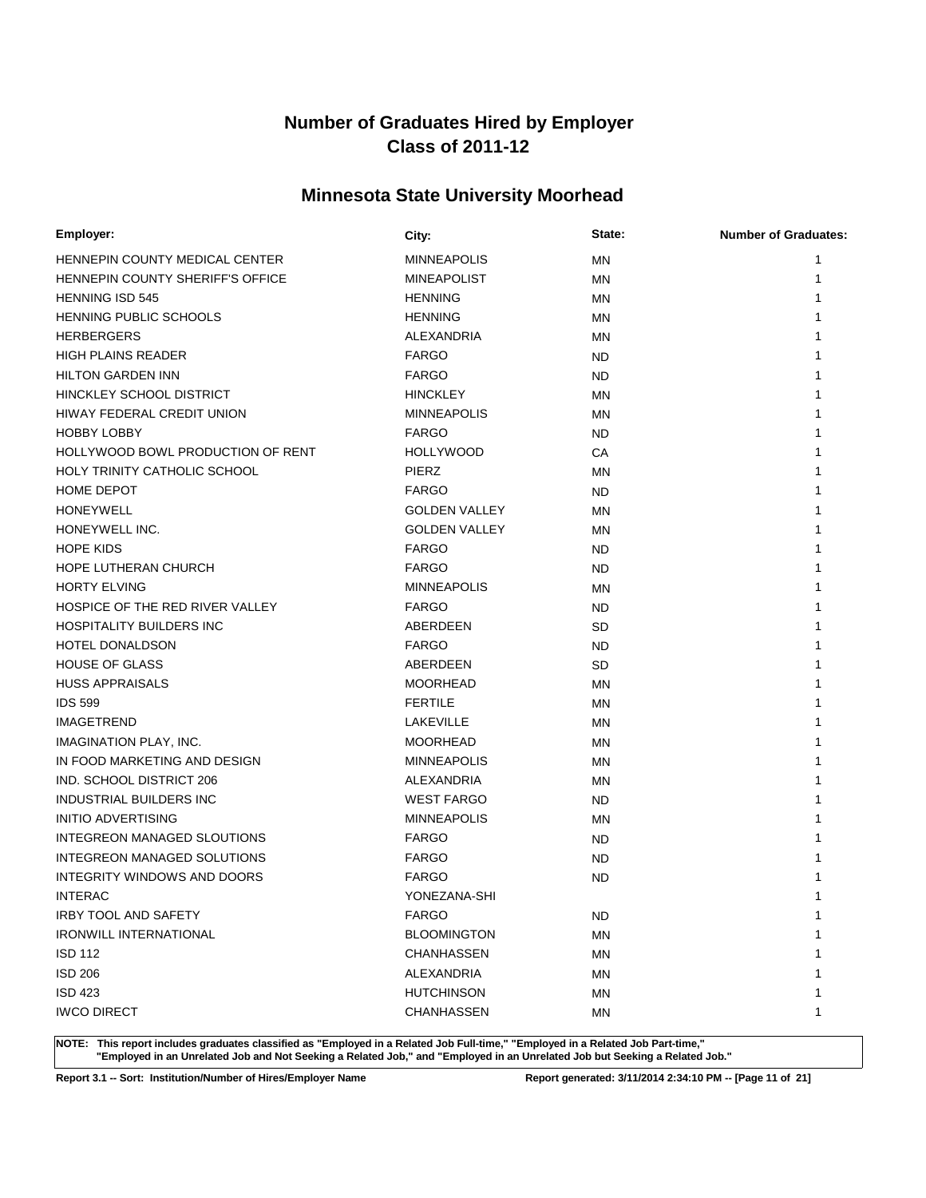# **Minnesota State University Moorhead**

| Employer:                         | City:                | State:    | <b>Number of Graduates:</b> |
|-----------------------------------|----------------------|-----------|-----------------------------|
| HENNEPIN COUNTY MEDICAL CENTER    | <b>MINNEAPOLIS</b>   | MN        | 1                           |
| HENNEPIN COUNTY SHERIFF'S OFFICE  | <b>MINEAPOLIST</b>   | ΜN        |                             |
| <b>HENNING ISD 545</b>            | <b>HENNING</b>       | MN        |                             |
| <b>HENNING PUBLIC SCHOOLS</b>     | <b>HENNING</b>       | ΜN        |                             |
| <b>HERBERGERS</b>                 | ALEXANDRIA           | MN        |                             |
| <b>HIGH PLAINS READER</b>         | <b>FARGO</b>         | ND        |                             |
| <b>HILTON GARDEN INN</b>          | <b>FARGO</b>         | ND.       |                             |
| HINCKLEY SCHOOL DISTRICT          | <b>HINCKLEY</b>      | <b>MN</b> |                             |
| HIWAY FEDERAL CREDIT UNION        | <b>MINNEAPOLIS</b>   | MN        |                             |
| <b>HOBBY LOBBY</b>                | <b>FARGO</b>         | ND.       |                             |
| HOLLYWOOD BOWL PRODUCTION OF RENT | <b>HOLLYWOOD</b>     | СA        |                             |
| HOLY TRINITY CATHOLIC SCHOOL      | <b>PIERZ</b>         | MN        |                             |
| <b>HOME DEPOT</b>                 | <b>FARGO</b>         | ND.       |                             |
| <b>HONEYWELL</b>                  | <b>GOLDEN VALLEY</b> | ΜN        |                             |
| HONEYWELL INC.                    | <b>GOLDEN VALLEY</b> | MN        |                             |
| <b>HOPE KIDS</b>                  | <b>FARGO</b>         | ND        |                             |
| HOPE LUTHERAN CHURCH              | <b>FARGO</b>         | ND        |                             |
| <b>HORTY ELVING</b>               | <b>MINNEAPOLIS</b>   | ΜN        |                             |
| HOSPICE OF THE RED RIVER VALLEY   | <b>FARGO</b>         | ND        |                             |
| <b>HOSPITALITY BUILDERS INC</b>   | ABERDEEN             | SD        |                             |
| <b>HOTEL DONALDSON</b>            | <b>FARGO</b>         | ND        |                             |
| <b>HOUSE OF GLASS</b>             | ABERDEEN             | <b>SD</b> |                             |
| <b>HUSS APPRAISALS</b>            | <b>MOORHEAD</b>      | ΜN        |                             |
| <b>IDS 599</b>                    | <b>FERTILE</b>       | ΜN        |                             |
| <b>IMAGETREND</b>                 | LAKEVILLE            | MN        |                             |
| IMAGINATION PLAY, INC.            | <b>MOORHEAD</b>      | ΜN        |                             |
| IN FOOD MARKETING AND DESIGN      | <b>MINNEAPOLIS</b>   | MN        |                             |
| IND. SCHOOL DISTRICT 206          | ALEXANDRIA           | ΜN        |                             |
| INDUSTRIAL BUILDERS INC           | <b>WEST FARGO</b>    | ND.       |                             |
| <b>INITIO ADVERTISING</b>         | <b>MINNEAPOLIS</b>   | ΜN        |                             |
| INTEGREON MANAGED SLOUTIONS       | <b>FARGO</b>         | ND        |                             |
| INTEGREON MANAGED SOLUTIONS       | <b>FARGO</b>         | ND        |                             |
| INTEGRITY WINDOWS AND DOORS       | <b>FARGO</b>         | ND        |                             |
| <b>INTERAC</b>                    | YONEZANA-SHI         |           |                             |
| <b>IRBY TOOL AND SAFETY</b>       | <b>FARGO</b>         | <b>ND</b> | 1                           |
| <b>IRONWILL INTERNATIONAL</b>     | <b>BLOOMINGTON</b>   | <b>MN</b> |                             |
| ISD 112                           | CHANHASSEN           | <b>MN</b> |                             |
| <b>ISD 206</b>                    | ALEXANDRIA           | <b>MN</b> |                             |
| <b>ISD 423</b>                    | <b>HUTCHINSON</b>    | <b>MN</b> |                             |
| <b>IWCO DIRECT</b>                | CHANHASSEN           | <b>MN</b> | 1                           |

**NOTE: This report includes graduates classified as "Employed in a Related Job Full-time," "Employed in a Related Job Part-time," "Employed in an Unrelated Job and Not Seeking a Related Job," and "Employed in an Unrelated Job but Seeking a Related Job."**

**Report 3.1 -- Sort: Institution/Number of Hires/Employer Name Report generated: 3/11/2014 2:34:10 PM -- [Page 11 of 21]**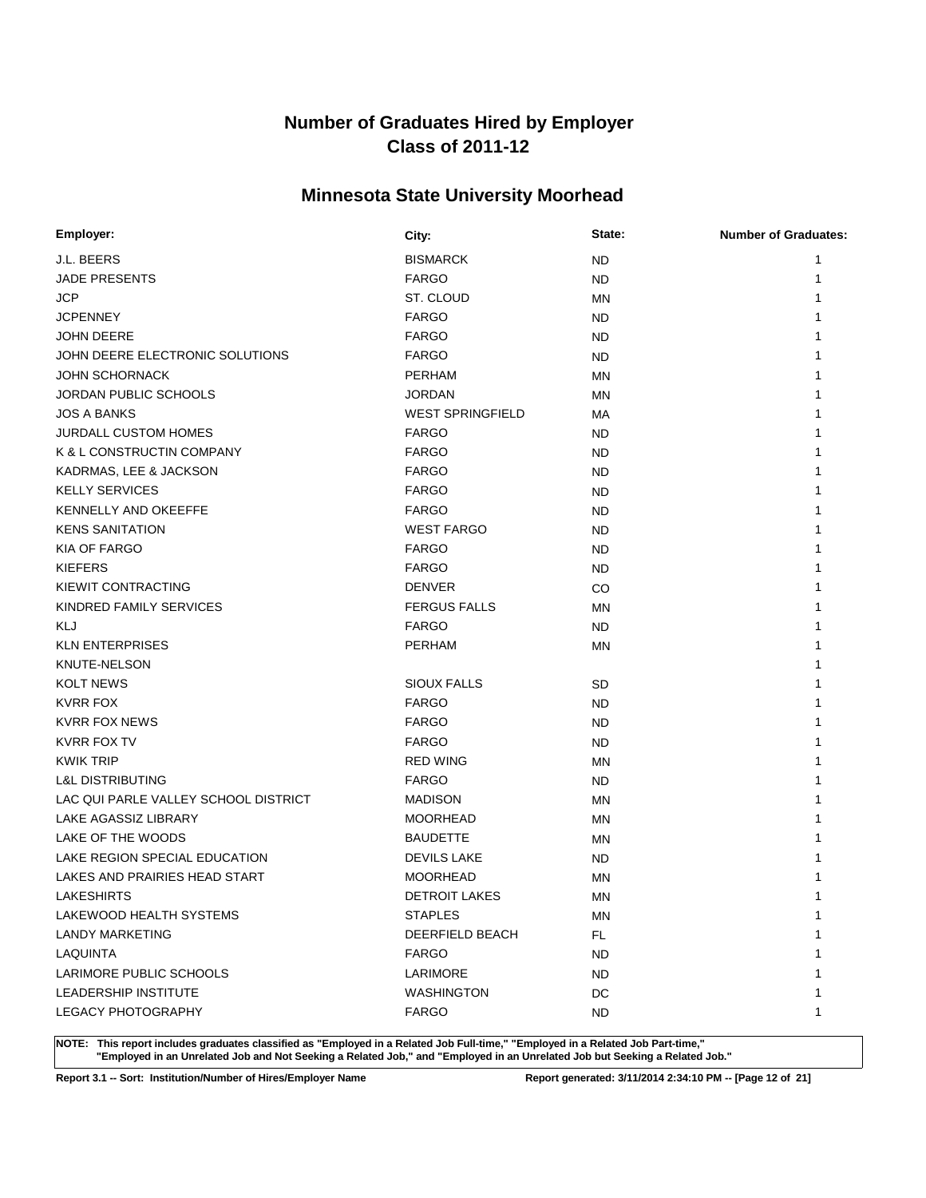# **Minnesota State University Moorhead**

| Employer:                            | City:                   | State:    | <b>Number of Graduates:</b> |
|--------------------------------------|-------------------------|-----------|-----------------------------|
| J.L. BEERS                           | <b>BISMARCK</b>         | <b>ND</b> | 1                           |
| <b>JADE PRESENTS</b>                 | <b>FARGO</b>            | <b>ND</b> | 1                           |
| <b>JCP</b>                           | ST. CLOUD               | MN        |                             |
| <b>JCPENNEY</b>                      | <b>FARGO</b>            | ND        |                             |
| <b>JOHN DEERE</b>                    | <b>FARGO</b>            | <b>ND</b> |                             |
| JOHN DEERE ELECTRONIC SOLUTIONS      | <b>FARGO</b>            | ND        |                             |
| <b>JOHN SCHORNACK</b>                | <b>PERHAM</b>           | MN        |                             |
| JORDAN PUBLIC SCHOOLS                | <b>JORDAN</b>           | MN        |                             |
| <b>JOS A BANKS</b>                   | <b>WEST SPRINGFIELD</b> | МA        |                             |
| <b>JURDALL CUSTOM HOMES</b>          | <b>FARGO</b>            | ND        |                             |
| K & L CONSTRUCTIN COMPANY            | <b>FARGO</b>            | ND        |                             |
| KADRMAS, LEE & JACKSON               | <b>FARGO</b>            | ND        |                             |
| <b>KELLY SERVICES</b>                | <b>FARGO</b>            | <b>ND</b> |                             |
| KENNELLY AND OKEEFFE                 | <b>FARGO</b>            | <b>ND</b> |                             |
| <b>KENS SANITATION</b>               | <b>WEST FARGO</b>       | <b>ND</b> |                             |
| <b>KIA OF FARGO</b>                  | <b>FARGO</b>            | <b>ND</b> |                             |
| <b>KIEFERS</b>                       | <b>FARGO</b>            | <b>ND</b> |                             |
| KIEWIT CONTRACTING                   | <b>DENVER</b>           | CO        |                             |
| KINDRED FAMILY SERVICES              | <b>FERGUS FALLS</b>     | MN        |                             |
| KLJ                                  | <b>FARGO</b>            | ND        |                             |
| <b>KLN ENTERPRISES</b>               | <b>PERHAM</b>           | MN        |                             |
| <b>KNUTE-NELSON</b>                  |                         |           |                             |
| <b>KOLT NEWS</b>                     | <b>SIOUX FALLS</b>      | <b>SD</b> |                             |
| KVRR FOX                             | <b>FARGO</b>            | ND        |                             |
| <b>KVRR FOX NEWS</b>                 | <b>FARGO</b>            | <b>ND</b> |                             |
| KVRR FOX TV                          | <b>FARGO</b>            | ND        |                             |
| <b>KWIK TRIP</b>                     | <b>RED WING</b>         | MN        |                             |
| <b>L&amp;L DISTRIBUTING</b>          | <b>FARGO</b>            | ND        |                             |
| LAC QUI PARLE VALLEY SCHOOL DISTRICT | <b>MADISON</b>          | MN        |                             |
| <b>LAKE AGASSIZ LIBRARY</b>          | <b>MOORHEAD</b>         | MN        |                             |
| LAKE OF THE WOODS                    | <b>BAUDETTE</b>         | MN        |                             |
| LAKE REGION SPECIAL EDUCATION        | <b>DEVILS LAKE</b>      | <b>ND</b> |                             |
| LAKES AND PRAIRIES HEAD START        | <b>MOORHEAD</b>         | MN        |                             |
| <b>LAKESHIRTS</b>                    | <b>DETROIT LAKES</b>    | <b>MN</b> | 1                           |
| LAKEWOOD HEALTH SYSTEMS              | <b>STAPLES</b>          | MN        | 1                           |
| <b>LANDY MARKETING</b>               | <b>DEERFIELD BEACH</b>  | FL.       |                             |
| LAQUINTA                             | <b>FARGO</b>            | ND.       |                             |
| LARIMORE PUBLIC SCHOOLS              | LARIMORE                | ND.       |                             |
| LEADERSHIP INSTITUTE                 | <b>WASHINGTON</b>       | DC        |                             |
| <b>LEGACY PHOTOGRAPHY</b>            | <b>FARGO</b>            | ND.       | 1                           |

**NOTE: This report includes graduates classified as "Employed in a Related Job Full-time," "Employed in a Related Job Part-time," "Employed in an Unrelated Job and Not Seeking a Related Job," and "Employed in an Unrelated Job but Seeking a Related Job."**

**Report 3.1 -- Sort: Institution/Number of Hires/Employer Name Report generated: 3/11/2014 2:34:10 PM -- [Page 12 of 21]**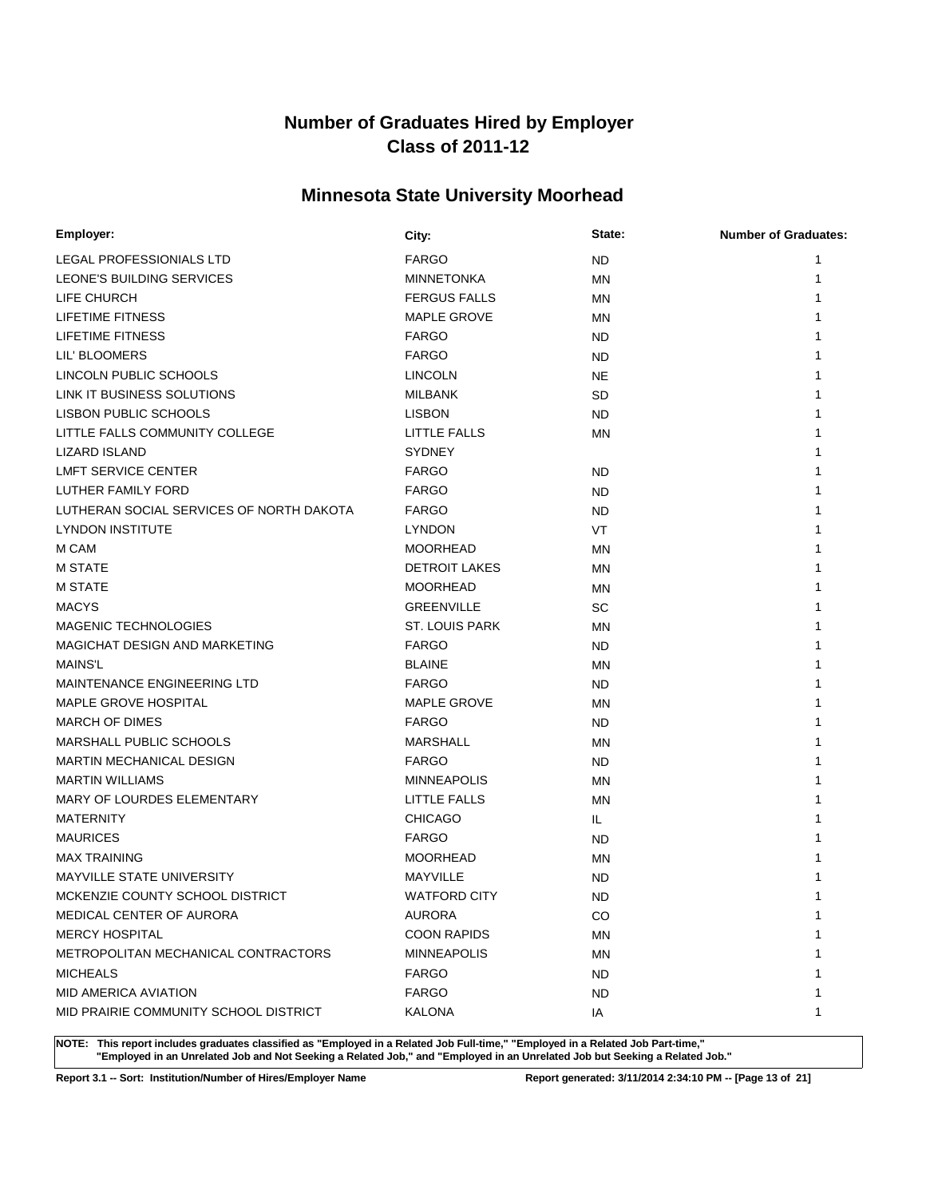# **Minnesota State University Moorhead**

| Employer:                                | City:                 | State:    | <b>Number of Graduates:</b> |
|------------------------------------------|-----------------------|-----------|-----------------------------|
| LEGAL PROFESSIONIALS LTD                 | <b>FARGO</b>          | ND.       | 1                           |
| LEONE'S BUILDING SERVICES                | <b>MINNETONKA</b>     | <b>MN</b> | 1                           |
| LIFE CHURCH                              | <b>FERGUS FALLS</b>   | ΜN        |                             |
| LIFETIME FITNESS                         | <b>MAPLE GROVE</b>    | MN        |                             |
| LIFETIME FITNESS                         | <b>FARGO</b>          | ND.       |                             |
| LIL' BLOOMERS                            | <b>FARGO</b>          | ND.       |                             |
| LINCOLN PUBLIC SCHOOLS                   | <b>LINCOLN</b>        | <b>NE</b> |                             |
| LINK IT BUSINESS SOLUTIONS               | MILBANK               | SD        |                             |
| LISBON PUBLIC SCHOOLS                    | <b>LISBON</b>         | ND.       |                             |
| LITTLE FALLS COMMUNITY COLLEGE           | LITTLE FALLS          | <b>MN</b> |                             |
| <b>LIZARD ISLAND</b>                     | <b>SYDNEY</b>         |           |                             |
| <b>LMFT SERVICE CENTER</b>               | <b>FARGO</b>          | ND.       |                             |
| LUTHER FAMILY FORD                       | <b>FARGO</b>          | ND.       |                             |
| LUTHERAN SOCIAL SERVICES OF NORTH DAKOTA | <b>FARGO</b>          | <b>ND</b> |                             |
| <b>LYNDON INSTITUTE</b>                  | <b>LYNDON</b>         | <b>VT</b> |                             |
| M CAM                                    | <b>MOORHEAD</b>       | MN        |                             |
| <b>M STATE</b>                           | <b>DETROIT LAKES</b>  | MN        |                             |
| <b>M STATE</b>                           | <b>MOORHEAD</b>       | MN        |                             |
| <b>MACYS</b>                             | <b>GREENVILLE</b>     | SC        |                             |
| <b>MAGENIC TECHNOLOGIES</b>              | <b>ST. LOUIS PARK</b> | MN        |                             |
| MAGICHAT DESIGN AND MARKETING            | <b>FARGO</b>          | ND.       |                             |
| <b>MAINS'L</b>                           | <b>BLAINE</b>         | <b>MN</b> |                             |
| MAINTENANCE ENGINEERING LTD              | <b>FARGO</b>          | ND.       |                             |
| MAPLE GROVE HOSPITAL                     | <b>MAPLE GROVE</b>    | <b>MN</b> |                             |
| <b>MARCH OF DIMES</b>                    | <b>FARGO</b>          | ND.       |                             |
| MARSHALL PUBLIC SCHOOLS                  | <b>MARSHALL</b>       | MN        |                             |
| <b>MARTIN MECHANICAL DESIGN</b>          | <b>FARGO</b>          | ND.       |                             |
| <b>MARTIN WILLIAMS</b>                   | <b>MINNEAPOLIS</b>    | MN        |                             |
| MARY OF LOURDES ELEMENTARY               | <b>LITTLE FALLS</b>   | MN        |                             |
| MATERNITY                                | <b>CHICAGO</b>        | IL.       |                             |
| <b>MAURICES</b>                          | <b>FARGO</b>          | ND.       |                             |
| <b>MAX TRAINING</b>                      | <b>MOORHEAD</b>       | MN        |                             |
| <b>MAYVILLE STATE UNIVERSITY</b>         | <b>MAYVILLE</b>       | <b>ND</b> |                             |
| MCKENZIE COUNTY SCHOOL DISTRICT          | <b>WATFORD CITY</b>   | <b>ND</b> | 1                           |
| MEDICAL CENTER OF AURORA                 | <b>AURORA</b>         | CO        | 1                           |
| <b>MERCY HOSPITAL</b>                    | <b>COON RAPIDS</b>    | ΜN        |                             |
| METROPOLITAN MECHANICAL CONTRACTORS      | <b>MINNEAPOLIS</b>    | ΜN        |                             |
| <b>MICHEALS</b>                          | <b>FARGO</b>          | ND.       |                             |
| <b>MID AMERICA AVIATION</b>              | <b>FARGO</b>          | ND.       |                             |
| MID PRAIRIE COMMUNITY SCHOOL DISTRICT    | KALONA                | IA        | 1                           |

**NOTE: This report includes graduates classified as "Employed in a Related Job Full-time," "Employed in a Related Job Part-time," "Employed in an Unrelated Job and Not Seeking a Related Job," and "Employed in an Unrelated Job but Seeking a Related Job."**

**Report 3.1 -- Sort: Institution/Number of Hires/Employer Name Report generated: 3/11/2014 2:34:10 PM -- [Page 13 of 21]**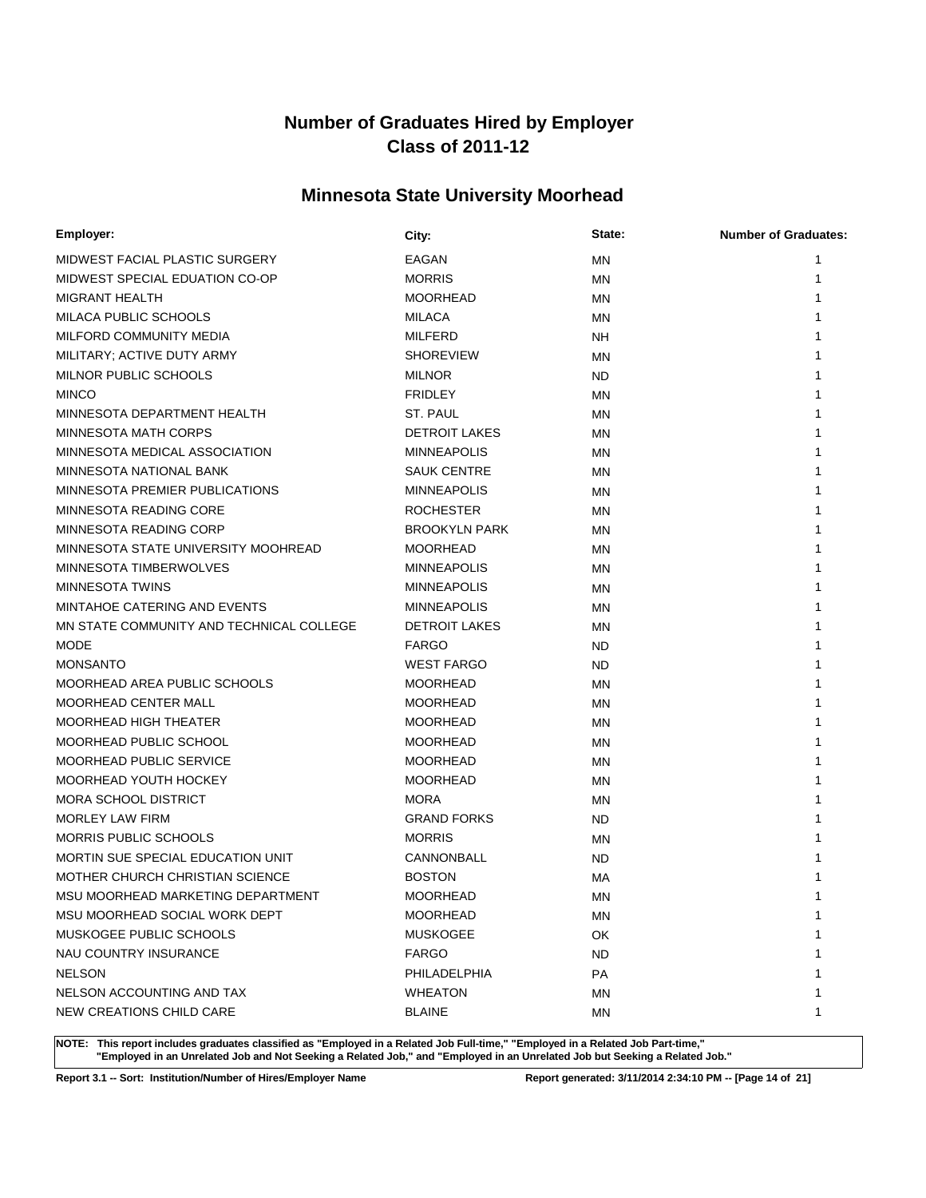# **Minnesota State University Moorhead**

| Employer:                                | City:                | State:    | <b>Number of Graduates:</b> |
|------------------------------------------|----------------------|-----------|-----------------------------|
| MIDWEST FACIAL PLASTIC SURGERY           | EAGAN                | <b>MN</b> | 1                           |
| MIDWEST SPECIAL EDUATION CO-OP           | <b>MORRIS</b>        | MN        |                             |
| <b>MIGRANT HEALTH</b>                    | <b>MOORHEAD</b>      | MN        |                             |
| MILACA PUBLIC SCHOOLS                    | <b>MILACA</b>        | MN        |                             |
| MILFORD COMMUNITY MEDIA                  | <b>MILFERD</b>       | NH        |                             |
| MILITARY; ACTIVE DUTY ARMY               | <b>SHOREVIEW</b>     | ΜN        |                             |
| MILNOR PUBLIC SCHOOLS                    | <b>MILNOR</b>        | ND        |                             |
| <b>MINCO</b>                             | <b>FRIDLEY</b>       | MN        |                             |
| MINNESOTA DEPARTMENT HEALTH              | ST. PAUL             | <b>MN</b> |                             |
| <b>MINNESOTA MATH CORPS</b>              | <b>DETROIT LAKES</b> | ΜN        |                             |
| MINNESOTA MEDICAL ASSOCIATION            | <b>MINNEAPOLIS</b>   | <b>MN</b> |                             |
| MINNESOTA NATIONAL BANK                  | <b>SAUK CENTRE</b>   | ΜN        |                             |
| MINNESOTA PREMIER PUBLICATIONS           | <b>MINNEAPOLIS</b>   | <b>MN</b> |                             |
| MINNESOTA READING CORE                   | <b>ROCHESTER</b>     | ΜN        |                             |
| MINNESOTA READING CORP                   | <b>BROOKYLN PARK</b> | <b>MN</b> |                             |
| MINNESOTA STATE UNIVERSITY MOOHREAD      | <b>MOORHEAD</b>      | ΜN        |                             |
| MINNESOTA TIMBERWOLVES                   | <b>MINNEAPOLIS</b>   | <b>MN</b> |                             |
| <b>MINNESOTA TWINS</b>                   | <b>MINNEAPOLIS</b>   | ΜN        |                             |
| MINTAHOE CATERING AND EVENTS             | <b>MINNEAPOLIS</b>   | <b>MN</b> |                             |
| MN STATE COMMUNITY AND TECHNICAL COLLEGE | <b>DETROIT LAKES</b> | MN        |                             |
| <b>MODE</b>                              | <b>FARGO</b>         | <b>ND</b> |                             |
| <b>MONSANTO</b>                          | <b>WEST FARGO</b>    | ND        |                             |
| MOORHEAD AREA PUBLIC SCHOOLS             | <b>MOORHEAD</b>      | <b>MN</b> |                             |
| <b>MOORHEAD CENTER MALL</b>              | <b>MOORHEAD</b>      | <b>MN</b> |                             |
| <b>MOORHEAD HIGH THEATER</b>             | <b>MOORHEAD</b>      | <b>MN</b> |                             |
| MOORHEAD PUBLIC SCHOOL                   | <b>MOORHEAD</b>      | MN        |                             |
| MOORHEAD PUBLIC SERVICE                  | <b>MOORHEAD</b>      | <b>MN</b> |                             |
| MOORHEAD YOUTH HOCKEY                    | <b>MOORHEAD</b>      | ΜN        |                             |
| <b>MORA SCHOOL DISTRICT</b>              | <b>MORA</b>          | <b>MN</b> |                             |
| <b>MORLEY LAW FIRM</b>                   | <b>GRAND FORKS</b>   | ND        |                             |
| <b>MORRIS PUBLIC SCHOOLS</b>             | <b>MORRIS</b>        | MN        |                             |
| MORTIN SUE SPECIAL EDUCATION UNIT        | CANNONBALL           | <b>ND</b> |                             |
| MOTHER CHURCH CHRISTIAN SCIENCE          | <b>BOSTON</b>        | МA        |                             |
| MSU MOORHEAD MARKETING DEPARTMENT        | <b>MOORHEAD</b>      | ΜN        |                             |
| MSU MOORHEAD SOCIAL WORK DEPT            | <b>MOORHEAD</b>      | MN        | 1                           |
| MUSKOGEE PUBLIC SCHOOLS                  | <b>MUSKOGEE</b>      | OK        |                             |
| NAU COUNTRY INSURANCE                    | <b>FARGO</b>         | <b>ND</b> |                             |
| <b>NELSON</b>                            | PHILADELPHIA         | PA        |                             |
| NELSON ACCOUNTING AND TAX                | <b>WHEATON</b>       | <b>MN</b> | 1                           |
| NEW CREATIONS CHILD CARE                 | <b>BLAINE</b>        | MN        | 1                           |

**NOTE: This report includes graduates classified as "Employed in a Related Job Full-time," "Employed in a Related Job Part-time," "Employed in an Unrelated Job and Not Seeking a Related Job," and "Employed in an Unrelated Job but Seeking a Related Job."**

**Report 3.1 -- Sort: Institution/Number of Hires/Employer Name Report generated: 3/11/2014 2:34:10 PM -- [Page 14 of 21]**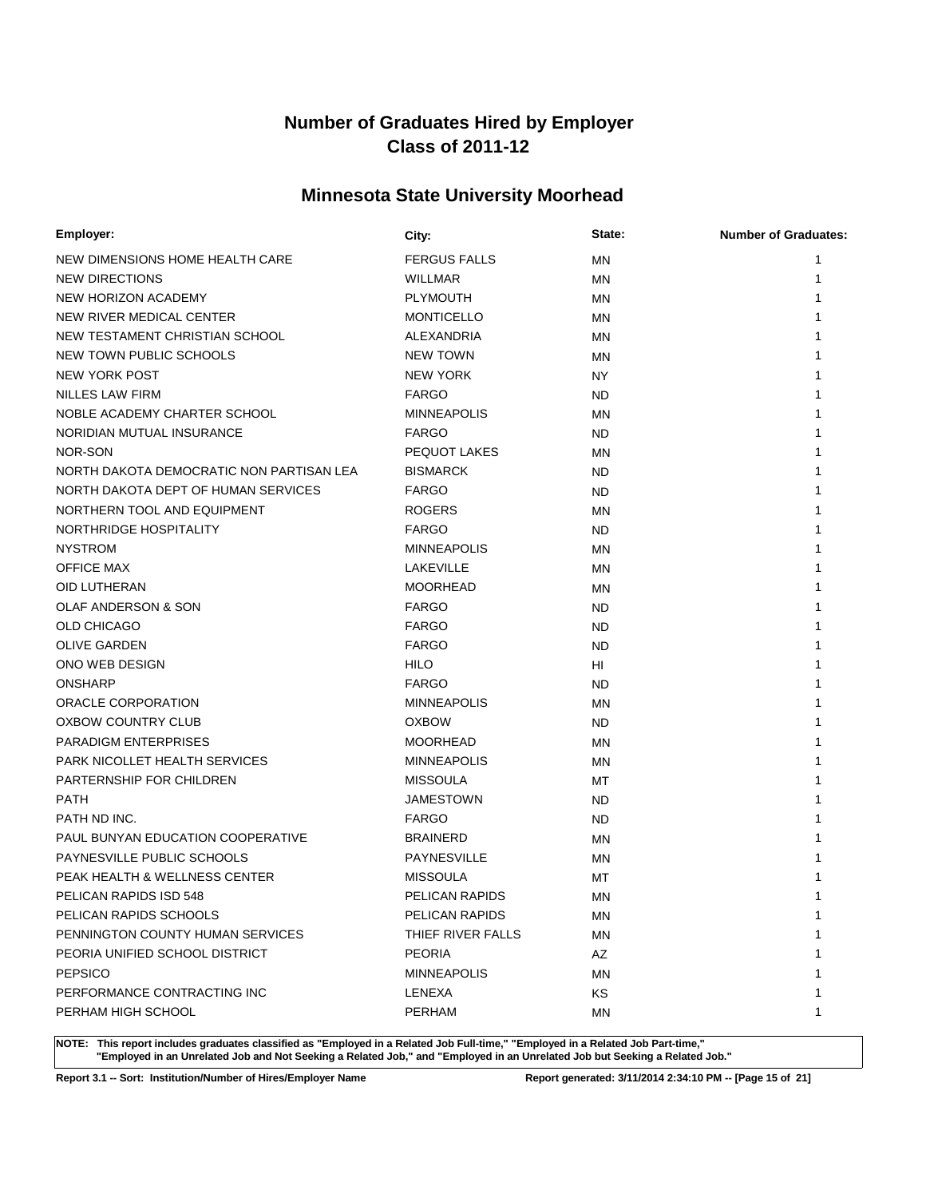# **Minnesota State University Moorhead**

| Employer:                                | City:               | State:    | <b>Number of Graduates:</b> |
|------------------------------------------|---------------------|-----------|-----------------------------|
| NEW DIMENSIONS HOME HEALTH CARE          | <b>FERGUS FALLS</b> | MN        | 1                           |
| <b>NEW DIRECTIONS</b>                    | <b>WILLMAR</b>      | <b>MN</b> | 1                           |
| NEW HORIZON ACADEMY                      | <b>PLYMOUTH</b>     | MN        |                             |
| NEW RIVER MEDICAL CENTER                 | <b>MONTICELLO</b>   | <b>MN</b> |                             |
| NEW TESTAMENT CHRISTIAN SCHOOL           | ALEXANDRIA          | MN        |                             |
| NEW TOWN PUBLIC SCHOOLS                  | <b>NEW TOWN</b>     | <b>MN</b> |                             |
| NEW YORK POST                            | <b>NEW YORK</b>     | NY        |                             |
| <b>NILLES LAW FIRM</b>                   | <b>FARGO</b>        | ND.       |                             |
| NOBLE ACADEMY CHARTER SCHOOL             | <b>MINNEAPOLIS</b>  | MN        |                             |
| NORIDIAN MUTUAL INSURANCE                | <b>FARGO</b>        | <b>ND</b> |                             |
| NOR-SON                                  | PEQUOT LAKES        | MN        |                             |
| NORTH DAKOTA DEMOCRATIC NON PARTISAN LEA | <b>BISMARCK</b>     | <b>ND</b> |                             |
| NORTH DAKOTA DEPT OF HUMAN SERVICES      | <b>FARGO</b>        | ND        |                             |
| NORTHERN TOOL AND EQUIPMENT              | <b>ROGERS</b>       | <b>MN</b> |                             |
| NORTHRIDGE HOSPITALITY                   | <b>FARGO</b>        | ND        |                             |
| <b>NYSTROM</b>                           | <b>MINNEAPOLIS</b>  | MN        |                             |
| <b>OFFICE MAX</b>                        | LAKEVILLE           | MN        |                             |
| OID LUTHERAN                             | <b>MOORHEAD</b>     | MN        |                             |
| OLAF ANDERSON & SON                      | <b>FARGO</b>        | ND        |                             |
| <b>OLD CHICAGO</b>                       | <b>FARGO</b>        | ND        |                             |
| <b>OLIVE GARDEN</b>                      | <b>FARGO</b>        | <b>ND</b> |                             |
| ONO WEB DESIGN                           | HILO                | HI        |                             |
| <b>ONSHARP</b>                           | <b>FARGO</b>        | ND        |                             |
| ORACLE CORPORATION                       | <b>MINNEAPOLIS</b>  | <b>MN</b> |                             |
| OXBOW COUNTRY CLUB                       | <b>OXBOW</b>        | ND        |                             |
| <b>PARADIGM ENTERPRISES</b>              | <b>MOORHEAD</b>     | <b>MN</b> |                             |
| PARK NICOLLET HEALTH SERVICES            | <b>MINNEAPOLIS</b>  | ΜN        |                             |
| PARTERNSHIP FOR CHILDREN                 | <b>MISSOULA</b>     | МT        |                             |
| <b>PATH</b>                              | <b>JAMESTOWN</b>    | ND        |                             |
| PATH ND INC.                             | <b>FARGO</b>        | ND.       |                             |
| PAUL BUNYAN EDUCATION COOPERATIVE        | <b>BRAINERD</b>     | MN        |                             |
| PAYNESVILLE PUBLIC SCHOOLS               | <b>PAYNESVILLE</b>  | MN        |                             |
| PEAK HEALTH & WELLNESS CENTER            | <b>MISSOULA</b>     | MT        |                             |
| PELICAN RAPIDS ISD 548                   | PELICAN RAPIDS      | ΜN        | 1                           |
| PELICAN RAPIDS SCHOOLS                   | PELICAN RAPIDS      | ΜN        | 1                           |
| PENNINGTON COUNTY HUMAN SERVICES         | THIEF RIVER FALLS   | ΜN        | 1                           |
| PEORIA UNIFIED SCHOOL DISTRICT           | <b>PEORIA</b>       | AZ        |                             |
| <b>PEPSICO</b>                           | <b>MINNEAPOLIS</b>  | ΜN        |                             |
| PERFORMANCE CONTRACTING INC              | LENEXA              | <b>KS</b> | 1                           |
| PERHAM HIGH SCHOOL                       | <b>PERHAM</b>       | ΜN        | 1                           |

**NOTE: This report includes graduates classified as "Employed in a Related Job Full-time," "Employed in a Related Job Part-time," "Employed in an Unrelated Job and Not Seeking a Related Job," and "Employed in an Unrelated Job but Seeking a Related Job."**

**Report 3.1 -- Sort: Institution/Number of Hires/Employer Name Report generated: 3/11/2014 2:34:10 PM -- [Page 15 of 21]**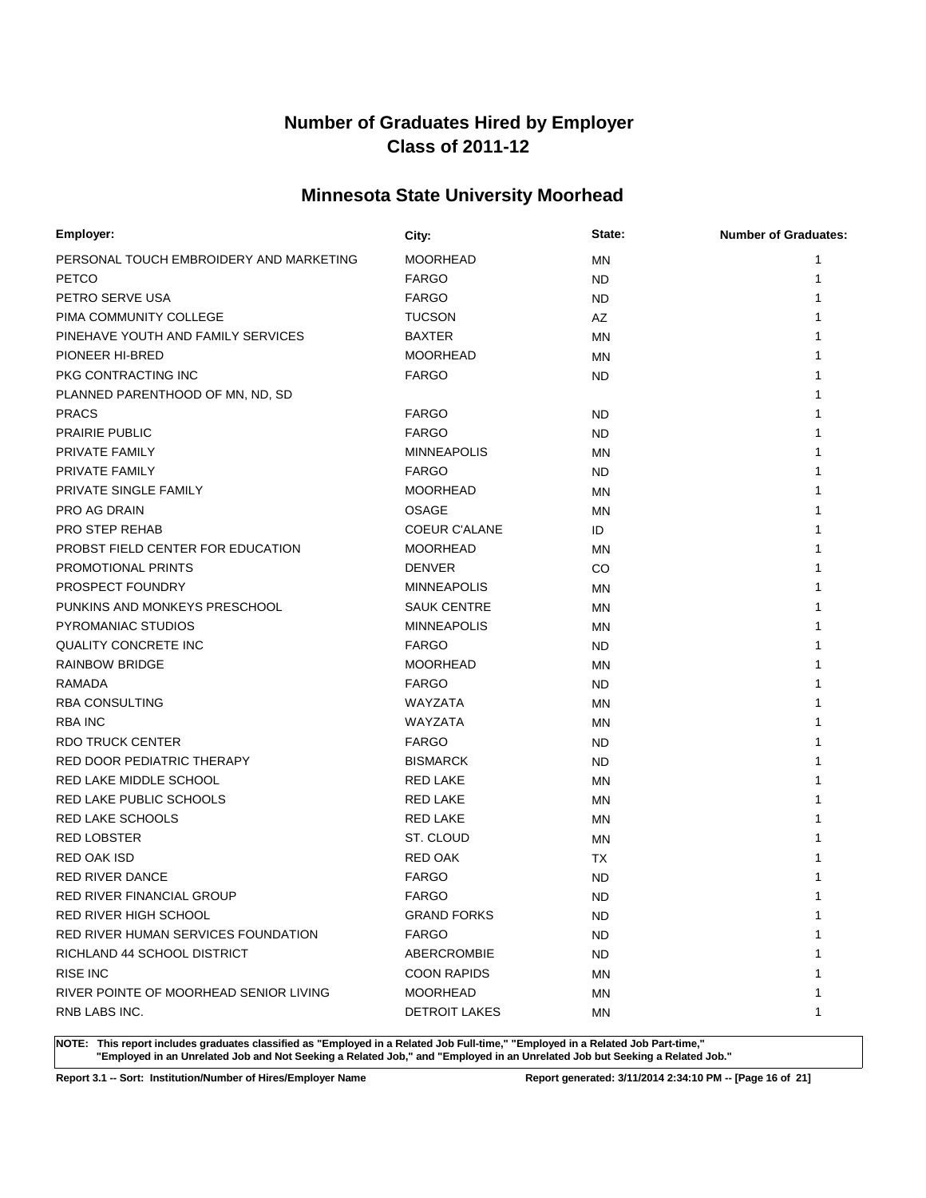# **Minnesota State University Moorhead**

| Employer:                               | City:                | State:    | <b>Number of Graduates:</b> |
|-----------------------------------------|----------------------|-----------|-----------------------------|
| PERSONAL TOUCH EMBROIDERY AND MARKETING | <b>MOORHEAD</b>      | MN        | 1                           |
| <b>PETCO</b>                            | <b>FARGO</b>         | ND.       |                             |
| PETRO SERVE USA                         | <b>FARGO</b>         | ND.       |                             |
| PIMA COMMUNITY COLLEGE                  | <b>TUCSON</b>        | AZ        |                             |
| PINEHAVE YOUTH AND FAMILY SERVICES      | <b>BAXTER</b>        | <b>MN</b> |                             |
| PIONEER HI-BRED                         | <b>MOORHEAD</b>      | <b>MN</b> |                             |
| PKG CONTRACTING INC                     | <b>FARGO</b>         | ND.       |                             |
| PLANNED PARENTHOOD OF MN, ND, SD        |                      |           |                             |
| <b>PRACS</b>                            | <b>FARGO</b>         | <b>ND</b> |                             |
| <b>PRAIRIE PUBLIC</b>                   | <b>FARGO</b>         | ND.       |                             |
| PRIVATE FAMILY                          | <b>MINNEAPOLIS</b>   | ΜN        |                             |
| <b>PRIVATE FAMILY</b>                   | <b>FARGO</b>         | ND.       |                             |
| PRIVATE SINGLE FAMILY                   | <b>MOORHEAD</b>      | MN        |                             |
| PRO AG DRAIN                            | <b>OSAGE</b>         | ΜN        |                             |
| <b>PRO STEP REHAB</b>                   | <b>COEUR C'ALANE</b> | ID        |                             |
| PROBST FIELD CENTER FOR EDUCATION       | <b>MOORHEAD</b>      | ΜN        |                             |
| PROMOTIONAL PRINTS                      | <b>DENVER</b>        | CO        |                             |
| PROSPECT FOUNDRY                        | <b>MINNEAPOLIS</b>   | ΜN        |                             |
| PUNKINS AND MONKEYS PRESCHOOL           | <b>SAUK CENTRE</b>   | <b>MN</b> |                             |
| PYROMANIAC STUDIOS                      | <b>MINNEAPOLIS</b>   | MN        |                             |
| <b>QUALITY CONCRETE INC</b>             | <b>FARGO</b>         | ND.       |                             |
| <b>RAINBOW BRIDGE</b>                   | <b>MOORHEAD</b>      | ΜN        |                             |
| RAMADA                                  | <b>FARGO</b>         | ND.       |                             |
| <b>RBA CONSULTING</b>                   | WAYZATA              | MN        |                             |
| <b>RBA INC</b>                          | WAYZATA              | ΜN        |                             |
| <b>RDO TRUCK CENTER</b>                 | <b>FARGO</b>         | ND.       |                             |
| RED DOOR PEDIATRIC THERAPY              | <b>BISMARCK</b>      | ND.       |                             |
| RED LAKE MIDDLE SCHOOL                  | <b>RED LAKE</b>      | ΜN        |                             |
| RED LAKE PUBLIC SCHOOLS                 | <b>RED LAKE</b>      | ΜN        |                             |
| <b>RED LAKE SCHOOLS</b>                 | <b>RED LAKE</b>      | MN        |                             |
| <b>RED LOBSTER</b>                      | ST. CLOUD            | MN        |                             |
| <b>RED OAK ISD</b>                      | <b>RED OAK</b>       | ТX        |                             |
| <b>RED RIVER DANCE</b>                  | <b>FARGO</b>         | <b>ND</b> |                             |
| RED RIVER FINANCIAL GROUP               | <b>FARGO</b>         | <b>ND</b> |                             |
| RED RIVER HIGH SCHOOL                   | <b>GRAND FORKS</b>   | ND.       | 1                           |
| RED RIVER HUMAN SERVICES FOUNDATION     | <b>FARGO</b>         | ND.       | 1                           |
| RICHLAND 44 SCHOOL DISTRICT             | ABERCROMBIE          | ND.       | 1                           |
| <b>RISE INC</b>                         | <b>COON RAPIDS</b>   | ΜN        |                             |
| RIVER POINTE OF MOORHEAD SENIOR LIVING  | <b>MOORHEAD</b>      | MN        | 1                           |
| RNB LABS INC.                           | <b>DETROIT LAKES</b> | ΜN        | 1                           |

**NOTE: This report includes graduates classified as "Employed in a Related Job Full-time," "Employed in a Related Job Part-time," "Employed in an Unrelated Job and Not Seeking a Related Job," and "Employed in an Unrelated Job but Seeking a Related Job."**

**Report 3.1 -- Sort: Institution/Number of Hires/Employer Name Report generated: 3/11/2014 2:34:10 PM -- [Page 16 of 21]**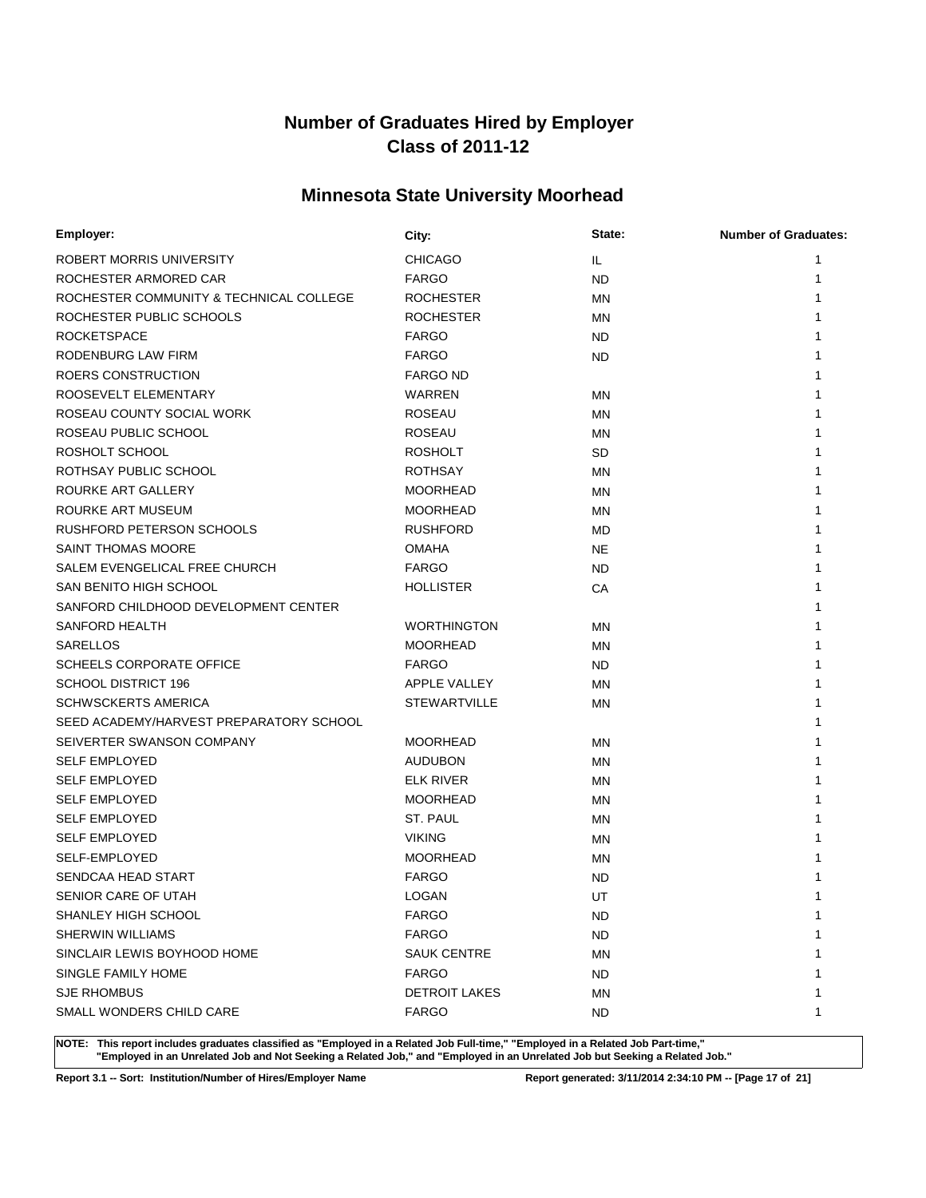# **Minnesota State University Moorhead**

| Employer:                               | City:                | State:    | <b>Number of Graduates:</b> |
|-----------------------------------------|----------------------|-----------|-----------------------------|
| ROBERT MORRIS UNIVERSITY                | <b>CHICAGO</b>       | IL.       | 1                           |
| ROCHESTER ARMORED CAR                   | <b>FARGO</b>         | <b>ND</b> | 1                           |
| ROCHESTER COMMUNITY & TECHNICAL COLLEGE | <b>ROCHESTER</b>     | <b>MN</b> |                             |
| ROCHESTER PUBLIC SCHOOLS                | <b>ROCHESTER</b>     | <b>MN</b> |                             |
| <b>ROCKETSPACE</b>                      | <b>FARGO</b>         | ND        |                             |
| RODENBURG LAW FIRM                      | <b>FARGO</b>         | ND.       |                             |
| ROERS CONSTRUCTION                      | <b>FARGO ND</b>      |           |                             |
| ROOSEVELT ELEMENTARY                    | WARREN               | <b>MN</b> |                             |
| ROSEAU COUNTY SOCIAL WORK               | <b>ROSEAU</b>        | <b>MN</b> |                             |
| ROSEAU PUBLIC SCHOOL                    | <b>ROSEAU</b>        | <b>MN</b> |                             |
| ROSHOLT SCHOOL                          | <b>ROSHOLT</b>       | <b>SD</b> |                             |
| ROTHSAY PUBLIC SCHOOL                   | <b>ROTHSAY</b>       | <b>MN</b> |                             |
| ROURKE ART GALLERY                      | <b>MOORHEAD</b>      | <b>MN</b> |                             |
| ROURKE ART MUSEUM                       | <b>MOORHEAD</b>      | <b>MN</b> |                             |
| RUSHFORD PETERSON SCHOOLS               | <b>RUSHFORD</b>      | MD        |                             |
| <b>SAINT THOMAS MOORE</b>               | <b>OMAHA</b>         | <b>NE</b> |                             |
| SALEM EVENGELICAL FREE CHURCH           | <b>FARGO</b>         | ND        |                             |
| SAN BENITO HIGH SCHOOL                  | <b>HOLLISTER</b>     | СA        |                             |
| SANFORD CHILDHOOD DEVELOPMENT CENTER    |                      |           |                             |
| SANFORD HEALTH                          | <b>WORTHINGTON</b>   | <b>MN</b> |                             |
| <b>SARELLOS</b>                         | <b>MOORHEAD</b>      | MN        |                             |
| <b>SCHEELS CORPORATE OFFICE</b>         | <b>FARGO</b>         | ND        |                             |
| <b>SCHOOL DISTRICT 196</b>              | APPLE VALLEY         | MN        |                             |
| <b>SCHWSCKERTS AMERICA</b>              | <b>STEWARTVILLE</b>  | <b>MN</b> |                             |
| SEED ACADEMY/HARVEST PREPARATORY SCHOOL |                      |           |                             |
| SEIVERTER SWANSON COMPANY               | <b>MOORHEAD</b>      | MN        |                             |
| <b>SELF EMPLOYED</b>                    | <b>AUDUBON</b>       | MN        |                             |
| <b>SELF EMPLOYED</b>                    | <b>ELK RIVER</b>     | MN        |                             |
| <b>SELF EMPLOYED</b>                    | <b>MOORHEAD</b>      | MN        |                             |
| <b>SELF EMPLOYED</b>                    | ST. PAUL             | <b>MN</b> |                             |
| <b>SELF EMPLOYED</b>                    | <b>VIKING</b>        | <b>MN</b> |                             |
| <b>SELF-EMPLOYED</b>                    | <b>MOORHEAD</b>      | <b>MN</b> |                             |
| SENDCAA HEAD START                      | <b>FARGO</b>         | <b>ND</b> |                             |
| SENIOR CARE OF UTAH                     | <b>LOGAN</b>         | UT        | 1                           |
| SHANLEY HIGH SCHOOL                     | <b>FARGO</b>         | ND.       | 1                           |
| <b>SHERWIN WILLIAMS</b>                 | <b>FARGO</b>         | <b>ND</b> |                             |
| SINCLAIR LEWIS BOYHOOD HOME             | <b>SAUK CENTRE</b>   | MN        |                             |
| SINGLE FAMILY HOME                      | <b>FARGO</b>         | ND.       |                             |
| <b>SJE RHOMBUS</b>                      | <b>DETROIT LAKES</b> | MN        |                             |
| SMALL WONDERS CHILD CARE                | <b>FARGO</b>         | ND.       | 1                           |

**NOTE: This report includes graduates classified as "Employed in a Related Job Full-time," "Employed in a Related Job Part-time," "Employed in an Unrelated Job and Not Seeking a Related Job," and "Employed in an Unrelated Job but Seeking a Related Job."**

**Report 3.1 -- Sort: Institution/Number of Hires/Employer Name Report generated: 3/11/2014 2:34:10 PM -- [Page 17 of 21]**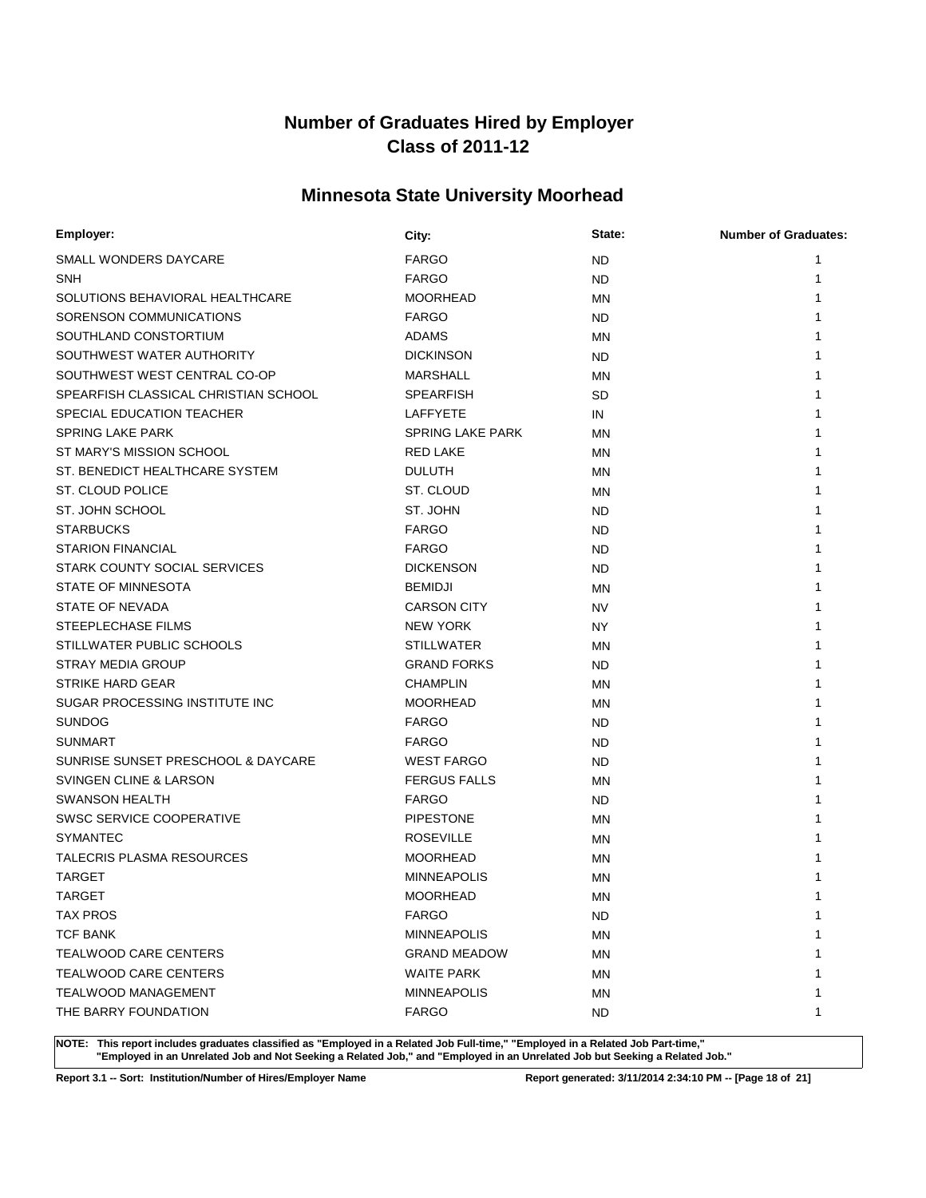# **Minnesota State University Moorhead**

| Employer:                            | City:                   | State:    | <b>Number of Graduates:</b> |
|--------------------------------------|-------------------------|-----------|-----------------------------|
| SMALL WONDERS DAYCARE                | <b>FARGO</b>            | ND        | 1                           |
| SNH                                  | <b>FARGO</b>            | <b>ND</b> | 1                           |
| SOLUTIONS BEHAVIORAL HEALTHCARE      | <b>MOORHEAD</b>         | MN        |                             |
| SORENSON COMMUNICATIONS              | <b>FARGO</b>            | ND        |                             |
| SOUTHLAND CONSTORTIUM                | <b>ADAMS</b>            | MN        |                             |
| SOUTHWEST WATER AUTHORITY            | <b>DICKINSON</b>        | <b>ND</b> |                             |
| SOUTHWEST WEST CENTRAL CO-OP         | <b>MARSHALL</b>         | MN        |                             |
| SPEARFISH CLASSICAL CHRISTIAN SCHOOL | <b>SPEARFISH</b>        | SD        |                             |
| SPECIAL EDUCATION TEACHER            | <b>LAFFYETE</b>         | IN        |                             |
| <b>SPRING LAKE PARK</b>              | <b>SPRING LAKE PARK</b> | <b>MN</b> |                             |
| ST MARY'S MISSION SCHOOL             | <b>RED LAKE</b>         | MN        |                             |
| ST. BENEDICT HEALTHCARE SYSTEM       | <b>DULUTH</b>           | ΜN        |                             |
| ST. CLOUD POLICE                     | ST. CLOUD               | MN        |                             |
| ST. JOHN SCHOOL                      | ST. JOHN                | <b>ND</b> |                             |
| <b>STARBUCKS</b>                     | <b>FARGO</b>            | ND        |                             |
| <b>STARION FINANCIAL</b>             | <b>FARGO</b>            | ND        |                             |
| STARK COUNTY SOCIAL SERVICES         | <b>DICKENSON</b>        | <b>ND</b> |                             |
| STATE OF MINNESOTA                   | <b>BEMIDJI</b>          | <b>MN</b> |                             |
| STATE OF NEVADA                      | <b>CARSON CITY</b>      | NV        |                             |
| STEEPLECHASE FILMS                   | <b>NEW YORK</b>         | NY.       |                             |
| STILLWATER PUBLIC SCHOOLS            | <b>STILLWATER</b>       | MN        |                             |
| STRAY MEDIA GROUP                    | <b>GRAND FORKS</b>      | <b>ND</b> |                             |
| <b>STRIKE HARD GEAR</b>              | <b>CHAMPLIN</b>         | MN        |                             |
| SUGAR PROCESSING INSTITUTE INC       | <b>MOORHEAD</b>         | MN        |                             |
| <b>SUNDOG</b>                        | <b>FARGO</b>            | ND        |                             |
| <b>SUNMART</b>                       | <b>FARGO</b>            | <b>ND</b> |                             |
| SUNRISE SUNSET PRESCHOOL & DAYCARE   | <b>WEST FARGO</b>       | ND        |                             |
| SVINGEN CLINE & LARSON               | <b>FERGUS FALLS</b>     | <b>MN</b> |                             |
| <b>SWANSON HEALTH</b>                | <b>FARGO</b>            | ND        |                             |
| SWSC SERVICE COOPERATIVE             | <b>PIPESTONE</b>        | <b>MN</b> |                             |
| <b>SYMANTEC</b>                      | <b>ROSEVILLE</b>        | MN        |                             |
| TALECRIS PLASMA RESOURCES            | <b>MOORHEAD</b>         | MN        |                             |
| <b>TARGET</b>                        | <b>MINNEAPOLIS</b>      | ΜN        |                             |
| <b>TARGET</b>                        | <b>MOORHEAD</b>         | MN        | 1                           |
| <b>TAX PROS</b>                      | <b>FARGO</b>            | ND        | 1                           |
| <b>TCF BANK</b>                      | <b>MINNEAPOLIS</b>      | MN        |                             |
| <b>TEALWOOD CARE CENTERS</b>         | <b>GRAND MEADOW</b>     | ΜN        |                             |
| TEALWOOD CARE CENTERS                | <b>WAITE PARK</b>       | ΜN        |                             |
| <b>TEALWOOD MANAGEMENT</b>           | <b>MINNEAPOLIS</b>      | MN        |                             |
| THE BARRY FOUNDATION                 | <b>FARGO</b>            | ND.       | 1                           |
|                                      |                         |           |                             |

**NOTE: This report includes graduates classified as "Employed in a Related Job Full-time," "Employed in a Related Job Part-time," "Employed in an Unrelated Job and Not Seeking a Related Job," and "Employed in an Unrelated Job but Seeking a Related Job."**

**Report 3.1 -- Sort: Institution/Number of Hires/Employer Name Report generated: 3/11/2014 2:34:10 PM -- [Page 18 of 21]**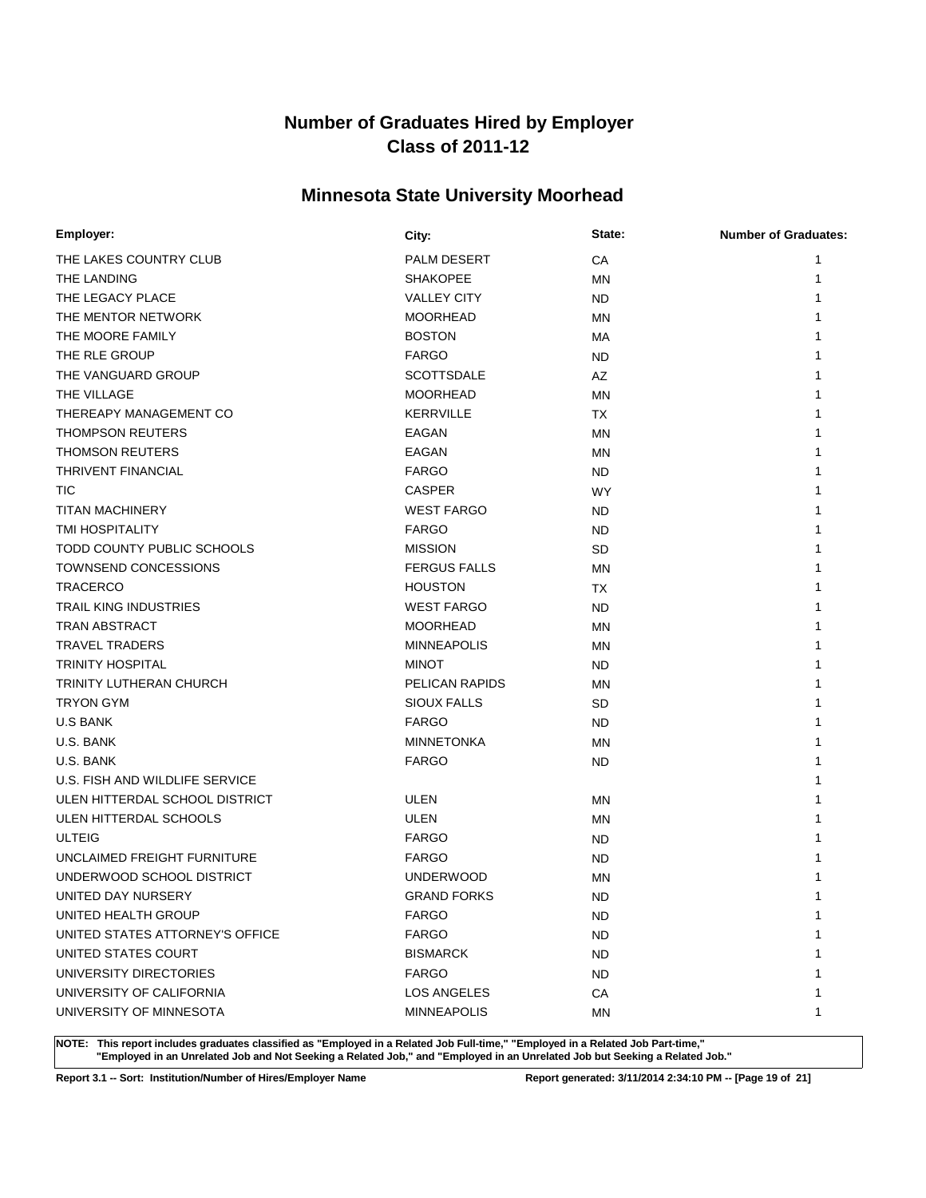# **Minnesota State University Moorhead**

| Employer:                       | City:               | State:    | <b>Number of Graduates:</b> |
|---------------------------------|---------------------|-----------|-----------------------------|
| THE LAKES COUNTRY CLUB          | PALM DESERT         | CA        | 1                           |
| THE LANDING                     | <b>SHAKOPEE</b>     | <b>MN</b> | 1                           |
| THE LEGACY PLACE                | <b>VALLEY CITY</b>  | <b>ND</b> |                             |
| THE MENTOR NETWORK              | <b>MOORHEAD</b>     | <b>MN</b> |                             |
| THE MOORE FAMILY                | <b>BOSTON</b>       | МA        |                             |
| THE RLE GROUP                   | <b>FARGO</b>        | ND.       |                             |
| THE VANGUARD GROUP              | <b>SCOTTSDALE</b>   | AZ        |                             |
| THE VILLAGE                     | <b>MOORHEAD</b>     | MN        |                             |
| THEREAPY MANAGEMENT CO          | <b>KERRVILLE</b>    | <b>TX</b> |                             |
| <b>THOMPSON REUTERS</b>         | EAGAN               | <b>MN</b> |                             |
| <b>THOMSON REUTERS</b>          | EAGAN               | MN        |                             |
| THRIVENT FINANCIAL              | <b>FARGO</b>        | ND.       |                             |
| TIC                             | <b>CASPER</b>       | <b>WY</b> |                             |
| <b>TITAN MACHINERY</b>          | <b>WEST FARGO</b>   | ND.       |                             |
| TMI HOSPITALITY                 | <b>FARGO</b>        | ND.       |                             |
| TODD COUNTY PUBLIC SCHOOLS      | <b>MISSION</b>      | SD        |                             |
| TOWNSEND CONCESSIONS            | <b>FERGUS FALLS</b> | MN        |                             |
| <b>TRACERCO</b>                 | <b>HOUSTON</b>      | TX        |                             |
| TRAIL KING INDUSTRIES           | <b>WEST FARGO</b>   | <b>ND</b> |                             |
| TRAN ABSTRACT                   | <b>MOORHEAD</b>     | <b>MN</b> |                             |
| <b>TRAVEL TRADERS</b>           | <b>MINNEAPOLIS</b>  | MN        |                             |
| <b>TRINITY HOSPITAL</b>         | <b>MINOT</b>        | ND.       |                             |
| TRINITY LUTHERAN CHURCH         | PELICAN RAPIDS      | MN        |                             |
| <b>TRYON GYM</b>                | <b>SIOUX FALLS</b>  | <b>SD</b> |                             |
| <b>U.S BANK</b>                 | <b>FARGO</b>        | ND.       |                             |
| U.S. BANK                       | <b>MINNETONKA</b>   | MN        |                             |
| U.S. BANK                       | <b>FARGO</b>        | ND.       |                             |
| U.S. FISH AND WILDLIFE SERVICE  |                     |           |                             |
| ULEN HITTERDAL SCHOOL DISTRICT  | <b>ULEN</b>         | ΜN        |                             |
| ULEN HITTERDAL SCHOOLS          | <b>ULEN</b>         | MN        |                             |
| <b>ULTEIG</b>                   | <b>FARGO</b>        | ND.       |                             |
| UNCLAIMED FREIGHT FURNITURE     | <b>FARGO</b>        | ND        |                             |
| UNDERWOOD SCHOOL DISTRICT       | <b>UNDERWOOD</b>    | <b>MN</b> |                             |
| UNITED DAY NURSERY              | <b>GRAND FORKS</b>  | <b>ND</b> | 1                           |
| UNITED HEALTH GROUP             | <b>FARGO</b>        | ND.       | 1                           |
| UNITED STATES ATTORNEY'S OFFICE | <b>FARGO</b>        | <b>ND</b> |                             |
| UNITED STATES COURT             | <b>BISMARCK</b>     | ND.       |                             |
| UNIVERSITY DIRECTORIES          | <b>FARGO</b>        | ND.       |                             |
| UNIVERSITY OF CALIFORNIA        | LOS ANGELES         | CA        | 1                           |
| UNIVERSITY OF MINNESOTA         | <b>MINNEAPOLIS</b>  | ΜN        | 1                           |

**NOTE: This report includes graduates classified as "Employed in a Related Job Full-time," "Employed in a Related Job Part-time," "Employed in an Unrelated Job and Not Seeking a Related Job," and "Employed in an Unrelated Job but Seeking a Related Job."**

**Report 3.1 -- Sort: Institution/Number of Hires/Employer Name Report generated: 3/11/2014 2:34:10 PM -- [Page 19 of 21]**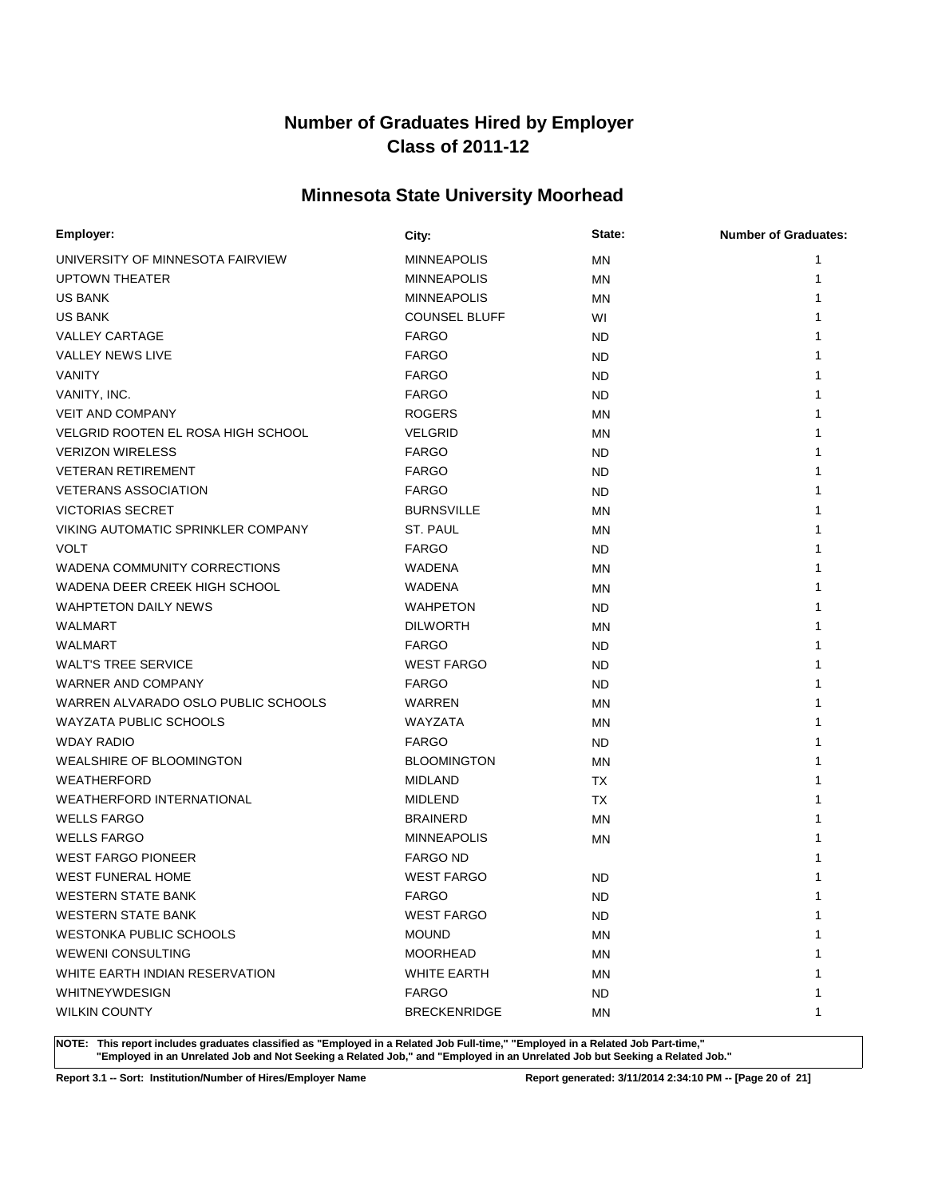# **Minnesota State University Moorhead**

| Employer:                           | City:                | State:    | <b>Number of Graduates:</b> |
|-------------------------------------|----------------------|-----------|-----------------------------|
| UNIVERSITY OF MINNESOTA FAIRVIEW    | <b>MINNEAPOLIS</b>   | <b>MN</b> | 1                           |
| <b>UPTOWN THEATER</b>               | <b>MINNEAPOLIS</b>   | MN        | 1                           |
| <b>US BANK</b>                      | <b>MINNEAPOLIS</b>   | ΜN        |                             |
| <b>US BANK</b>                      | <b>COUNSEL BLUFF</b> | WI        |                             |
| <b>VALLEY CARTAGE</b>               | <b>FARGO</b>         | ND        |                             |
| <b>VALLEY NEWS LIVE</b>             | <b>FARGO</b>         | ND        |                             |
| VANITY                              | <b>FARGO</b>         | ND        |                             |
| VANITY, INC.                        | <b>FARGO</b>         | ND        |                             |
| <b>VEIT AND COMPANY</b>             | <b>ROGERS</b>        | ΜN        |                             |
| VELGRID ROOTEN EL ROSA HIGH SCHOOL  | VELGRID              | MN        |                             |
| <b>VERIZON WIRELESS</b>             | <b>FARGO</b>         | ND        |                             |
| <b>VETERAN RETIREMENT</b>           | <b>FARGO</b>         | <b>ND</b> |                             |
| <b>VETERANS ASSOCIATION</b>         | <b>FARGO</b>         | ND        |                             |
| <b>VICTORIAS SECRET</b>             | <b>BURNSVILLE</b>    | MN        |                             |
| VIKING AUTOMATIC SPRINKLER COMPANY  | <b>ST. PAUL</b>      | ΜN        |                             |
| <b>VOLT</b>                         | <b>FARGO</b>         | ND.       |                             |
| WADENA COMMUNITY CORRECTIONS        | WADENA               | ΜN        |                             |
| WADENA DEER CREEK HIGH SCHOOL       | WADENA               | MN        |                             |
| <b>WAHPTETON DAILY NEWS</b>         | <b>WAHPETON</b>      | ND        |                             |
| WALMART                             | <b>DILWORTH</b>      | MN        |                             |
| <b>WALMART</b>                      | <b>FARGO</b>         | ND        |                             |
| <b>WALT'S TREE SERVICE</b>          | <b>WEST FARGO</b>    | ND        |                             |
| WARNER AND COMPANY                  | <b>FARGO</b>         | ND        |                             |
| WARREN ALVARADO OSLO PUBLIC SCHOOLS | WARREN               | ΜN        |                             |
| <b>WAYZATA PUBLIC SCHOOLS</b>       | WAYZATA              | ΜN        |                             |
| <b>WDAY RADIO</b>                   | <b>FARGO</b>         | ND        |                             |
| <b>WEALSHIRE OF BLOOMINGTON</b>     | <b>BLOOMINGTON</b>   | ΜN        |                             |
| <b>WEATHERFORD</b>                  | <b>MIDLAND</b>       | TX        |                             |
| <b>WEATHERFORD INTERNATIONAL</b>    | <b>MIDLEND</b>       | <b>TX</b> |                             |
| <b>WELLS FARGO</b>                  | <b>BRAINERD</b>      | ΜN        |                             |
| <b>WELLS FARGO</b>                  | <b>MINNEAPOLIS</b>   | <b>MN</b> |                             |
| <b>WEST FARGO PIONEER</b>           | <b>FARGO ND</b>      |           |                             |
| <b>WEST FUNERAL HOME</b>            | <b>WEST FARGO</b>    | ND        |                             |
| WESTERN STATE BANK                  | <b>FARGO</b>         | <b>ND</b> | 1                           |
| <b>WESTERN STATE BANK</b>           | <b>WEST FARGO</b>    | ND.       | 1                           |
| <b>WESTONKA PUBLIC SCHOOLS</b>      | <b>MOUND</b>         | <b>MN</b> |                             |
| WEWENI CONSULTING                   | <b>MOORHEAD</b>      | ΜN        |                             |
| WHITE EARTH INDIAN RESERVATION      | <b>WHITE EARTH</b>   | ΜN        | 1                           |
| <b>WHITNEYWDESIGN</b>               | <b>FARGO</b>         | ND.       | 1                           |
| <b>WILKIN COUNTY</b>                | <b>BRECKENRIDGE</b>  | ΜN        | 1                           |

**NOTE: This report includes graduates classified as "Employed in a Related Job Full-time," "Employed in a Related Job Part-time," "Employed in an Unrelated Job and Not Seeking a Related Job," and "Employed in an Unrelated Job but Seeking a Related Job."**

**Report 3.1 -- Sort: Institution/Number of Hires/Employer Name Report generated: 3/11/2014 2:34:10 PM -- [Page 20 of 21]**